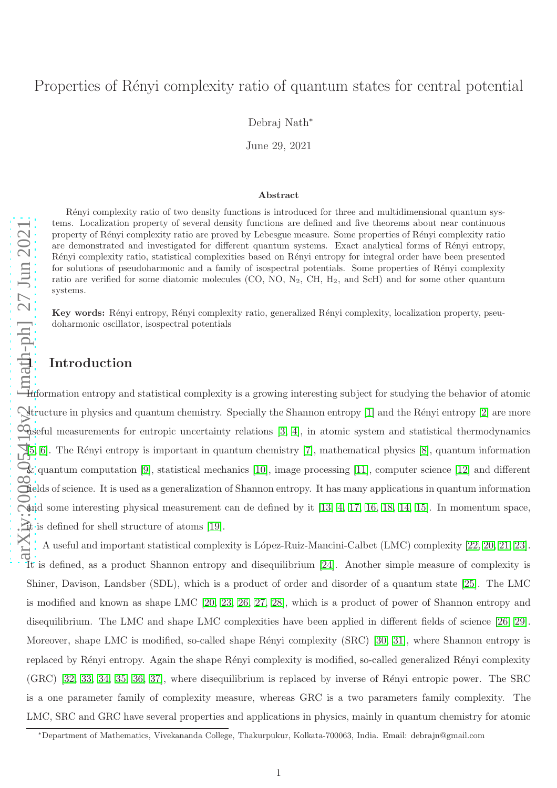# Properties of Rényi complexity ratio of quantum states for central potential

Debraj Nath ∗

June 29, 2021

#### Abstract

Rényi complexity ratio of two density functions is introduced for three and multidimensional quantum systems. Localization property of several density functions are defined and five theorems about near continuous property of R´enyi complexity ratio are proved by Lebesgue measure. Some properties of R´enyi complexity ratio are demonstrated and investigated for different quantum systems. Exact analytical forms of Rényi entropy, R´enyi complexity ratio, statistical complexities based on R´enyi entropy for integral order have been presented for solutions of pseudoharmonic and a family of isospectral potentials. Some properties of Rényi complexity ratio are verified for some diatomic molecules (CO, NO, N <sup>2</sup>, CH, H <sup>2</sup>, and ScH) and for some other quantum systems.

Key words: Rényi entropy, Rényi complexity ratio, generalized Rényi complexity, localization property, pseudoharmonic oscillator, isospectral potentials

## 1 Introduction

Information entropy and statistical complexity is a growing interesting subject for studying the behavior of atomic structure in physics and quantum chemistry. Specially the Shannon entropy  $[1]$  and the Rényi entropy  $[2]$  are more deseful measurements for entropic uncertainty relations [\[3,](#page-24-2) [4\]](#page-24-3), in atomic system and statistical thermodynamics [\[5,](#page-24-4) [6\]](#page-24-5). The R´enyi entropy is important in quantum chemistry [\[7\]](#page-24-6), mathematical physics [\[8\]](#page-24-7), quantum information & quantum computation [\[9\]](#page-24-8), statistical mechanics [\[10\]](#page-24-9), image processing [\[11\]](#page-24-10), computer science [\[12\]](#page-25-0) and different fields of science. It is used as a generalization of Shannon entropy. It has many applications in quantum information and some interesting physical measurement can de defined by it [\[13,](#page-25-1) [4,](#page-24-3) [17,](#page-25-2) [16,](#page-25-3) [18,](#page-25-4) [14,](#page-25-5) [15\]](#page-25-6). In momentum space, it is defined for shell structure of atoms [\[19\]](#page-26-0).

A useful and important statistical complexity is López-Ruiz-Mancini-Calbet (LMC) complexity [\[22,](#page-26-1) [20,](#page-26-2) [21,](#page-26-3) [23\]](#page-26-4). It is defined, as a product Shannon entropy and disequilibrium [\[24\]](#page-26-5). Another simple measure of complexity is Shiner, Davison, Landsber (SDL), which is a product of order and disorder of a quantum state [\[25\]](#page-26-6). The LMC is modified and known as shape LMC [\[20,](#page-26-2) [23,](#page-26-4) [26,](#page-26-7) [27,](#page-26-8) [28\]](#page-26-9), which is a product of power of Shannon entropy and disequilibrium. The LMC and shape LMC complexities have been applied in different fields of science [\[26,](#page-26-7) [29\]](#page-26-10). Moreover, shape LMC is modified, so-called shape Rényi complexity (SRC) [\[30,](#page-27-0) [31\]](#page-27-1), where Shannon entropy is replaced by Rényi entropy. Again the shape Rényi complexity is modified, so-called generalized Rényi complexity  $(GRC)$  [\[32,](#page-27-2) [33,](#page-27-3) [34,](#page-27-4) [35,](#page-27-5) [36,](#page-27-6) [37\]](#page-27-7), where disequilibrium is replaced by inverse of Rényi entropic power. The SRC is a one parameter family of complexity measure, whereas GRC is a two parameters family complexity. The LMC, SRC and GRC have several properties and applications in physics, mainly in quantum chemistry for atomic

<sup>∗</sup>Department of Mathematics, Vivekananda College, Thakurpukur, Kolkata-700063, India. Email: debrajn@gmail.com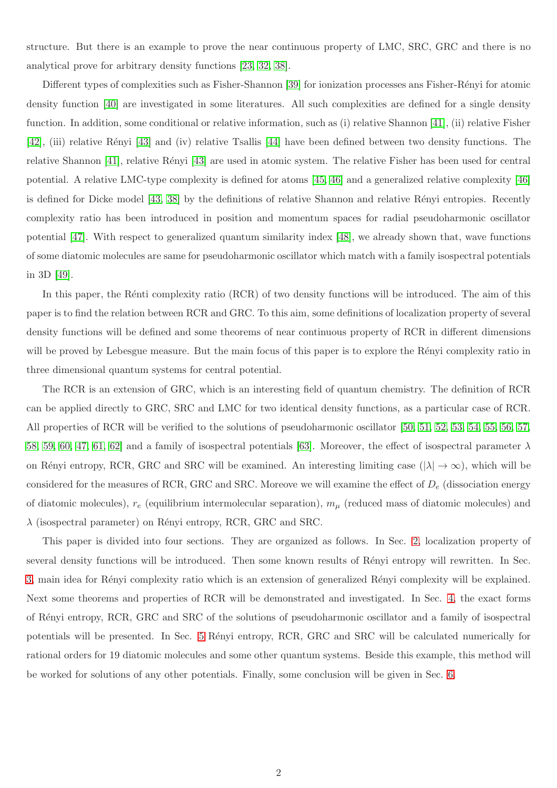structure. But there is an example to prove the near continuous property of LMC, SRC, GRC and there is no analytical prove for arbitrary density functions [\[23,](#page-26-4) [32,](#page-27-2) [38\]](#page-27-8).

Different types of complexities such as Fisher-Shannon [\[39\]](#page-27-9) for ionization processes ans Fisher-Rényi for atomic density function [\[40\]](#page-27-10) are investigated in some literatures. All such complexities are defined for a single density function. In addition, some conditional or relative information, such as (i) relative Shannon [\[41\]](#page-27-11), (ii) relative Fisher [\[42\]](#page-27-12), (iii) relative R´enyi [\[43\]](#page-27-13) and (iv) relative Tsallis [\[44\]](#page-27-14) have been defined between two density functions. The relative Shannon [\[41\]](#page-27-11), relative Rényi [\[43\]](#page-27-13) are used in atomic system. The relative Fisher has been used for central potential. A relative LMC-type complexity is defined for atoms [\[45,](#page-27-15) [46\]](#page-27-16) and a generalized relative complexity [\[46\]](#page-27-16) is defined for Dicke model [\[43,](#page-27-13) [38\]](#page-27-8) by the definitions of relative Shannon and relative Rényi entropies. Recently complexity ratio has been introduced in position and momentum spaces for radial pseudoharmonic oscillator potential [\[47\]](#page-27-17). With respect to generalized quantum similarity index [\[48\]](#page-27-18), we already shown that, wave functions of some diatomic molecules are same for pseudoharmonic oscillator which match with a family isospectral potentials in 3D [\[49\]](#page-27-19).

In this paper, the Rénti complexity ratio (RCR) of two density functions will be introduced. The aim of this paper is to find the relation between RCR and GRC. To this aim, some definitions of localization property of several density functions will be defined and some theorems of near continuous property of RCR in different dimensions will be proved by Lebesgue measure. But the main focus of this paper is to explore the Rényi complexity ratio in three dimensional quantum systems for central potential.

The RCR is an extension of GRC, which is an interesting field of quantum chemistry. The definition of RCR can be applied directly to GRC, SRC and LMC for two identical density functions, as a particular case of RCR. All properties of RCR will be verified to the solutions of pseudoharmonic oscillator [\[50,](#page-27-20) [51,](#page-27-21) [52,](#page-27-22) [53,](#page-27-23) [54,](#page-27-24) [55,](#page-28-0) [56,](#page-28-1) [57,](#page-28-2) [58,](#page-28-3) [59,](#page-28-4) [60,](#page-28-5) [47,](#page-27-17) [61,](#page-28-6) 62 and a family of isospectral potentials [\[63\]](#page-28-8). Moreover, the effect of isospectral parameter  $\lambda$ on Rényi entropy, RCR, GRC and SRC will be examined. An interesting limiting case  $(|\lambda| \to \infty)$ , which will be considered for the measures of RCR, GRC and SRC. Moreove we will examine the effect of  $D_e$  (dissociation energy of diatomic molecules),  $r_e$  (equilibrium intermolecular separation),  $m_\mu$  (reduced mass of diatomic molecules) and  $\lambda$  (isospectral parameter) on Rényi entropy, RCR, GRC and SRC.

This paper is divided into four sections. They are organized as follows. In Sec. [2,](#page-2-0) localization property of several density functions will be introduced. Then some known results of Rényi entropy will rewritten. In Sec. [3,](#page-5-0) main idea for Rényi complexity ratio which is an extension of generalized Rényi complexity will be explained. Next some theorems and properties of RCR will be demonstrated and investigated. In Sec. [4,](#page-13-0) the exact forms of R´enyi entropy, RCR, GRC and SRC of the solutions of pseudoharmonic oscillator and a family of isospectral potentials will be presented. In Sec. [5](#page-21-0) Rényi entropy, RCR, GRC and SRC will be calculated numerically for rational orders for 19 diatomic molecules and some other quantum systems. Beside this example, this method will be worked for solutions of any other potentials. Finally, some conclusion will be given in Sec. [6.](#page-23-0)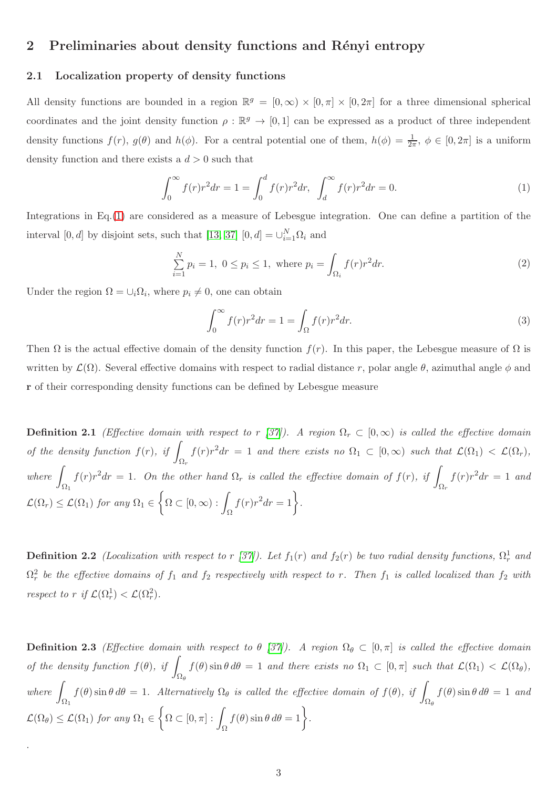## <span id="page-2-0"></span>2 Preliminaries about density functions and Rényi entropy

### 2.1 Localization property of density functions

All density functions are bounded in a region  $\mathbb{R}^g = [0, \infty) \times [0, \pi] \times [0, 2\pi]$  for a three dimensional spherical coordinates and the joint density function  $\rho : \mathbb{R}^g \to [0,1]$  can be expressed as a product of three independent density functions  $f(r)$ ,  $g(\theta)$  and  $h(\phi)$ . For a central potential one of them,  $h(\phi) = \frac{1}{2\pi}$ ,  $\phi \in [0, 2\pi]$  is a uniform density function and there exists a  $d > 0$  such that

<span id="page-2-1"></span>
$$
\int_0^\infty f(r)r^2 dr = 1 = \int_0^d f(r)r^2 dr, \quad \int_d^\infty f(r)r^2 dr = 0.
$$
 (1)

Integrations in Eq.[\(1\)](#page-2-1) are considered as a measure of Lebesgue integration. One can define a partition of the interval [0, d] by disjoint sets, such that [\[13,](#page-25-1) [37\]](#page-27-7)  $[0, d] = \bigcup_{i=1}^{N} \Omega_i$  and

$$
\sum_{i=1}^{N} p_i = 1, \ 0 \le p_i \le 1, \text{ where } p_i = \int_{\Omega_i} f(r)r^2 dr. \tag{2}
$$

Under the region  $\Omega = \bigcup_i \Omega_i$ , where  $p_i \neq 0$ , one can obtain

.

$$
\int_0^\infty f(r)r^2 dr = 1 = \int_\Omega f(r)r^2 dr.
$$
\n(3)

Then  $\Omega$  is the actual effective domain of the density function  $f(r)$ . In this paper, the Lebesgue measure of  $\Omega$  is written by  $\mathcal{L}(\Omega)$ . Several effective domains with respect to radial distance r, polar angle  $\theta$ , azimuthal angle  $\phi$  and r of their corresponding density functions can be defined by Lebesgue measure

<span id="page-2-2"></span>**Definition 2.1** (Effective domain with respect to r [\[37\]](#page-27-7)). A region  $\Omega_r \subset [0,\infty)$  is called the effective domain of the density function  $f(r)$ , if  $\Omega_r$  $f(r)r^2dr = 1$  and there exists no  $\Omega_1 \subset [0,\infty)$  such that  $\mathcal{L}(\Omega_1) < \mathcal{L}(\Omega_r)$ ,  $where$  $\Omega_1$  $f(r)r^2dr = 1$ . On the other hand  $\Omega_r$  is called the effective domain of  $f(r)$ , if  $\Box$  $\Omega_r$  $f(r)r^2dr = 1$  and  $\mathcal{L}(\Omega_r) \leq \mathcal{L}(\Omega_1)$  for any  $\Omega_1 \in$  $\biggl\{ \Omega \subset [0,\infty) : \int_{\Omega}$  $f(r)r^2dr=1$ .

**Definition 2.2** (Localization with respect to r [\[37\]](#page-27-7)). Let  $f_1(r)$  and  $f_2(r)$  be two radial density functions,  $\Omega_r^1$  and  $\Omega_r^2$  be the effective domains of  $f_1$  and  $f_2$  respectively with respect to r. Then  $f_1$  is called localized than  $f_2$  with respect to r if  $\mathcal{L}(\Omega_r^1) < \mathcal{L}(\Omega_r^2)$ .

<span id="page-2-3"></span>**Definition 2.3** (Effective domain with respect to  $\theta$  [\[37\]](#page-27-7)). A region  $\Omega_{\theta} \subset [0, \pi]$  is called the effective domain of the density function  $f(\theta)$ , if  $\int_{\Omega_{\theta}} f(\theta) \sin \theta \, d\theta = 1$  and there exists no  $\Omega_1 \subset [0, \pi]$  such that  $\mathcal{L}(\Omega_1) < \mathcal{L}(\Omega_{\theta}),$  $where$  $\Omega_1$  $f(\theta)$  sin  $\theta d\theta = 1$ . Alternatively  $\Omega_{\theta}$  is called the effective domain of  $f(\theta)$ , if  $\Omega_\theta$  $f(\theta) \sin \theta d\theta = 1$  and  $\mathcal{L}(\Omega_{\theta}) \leq \mathcal{L}(\Omega_1)$  for any  $\Omega_1 \in$  $\biggl\{ \Omega \subset [0, \pi] : \int_{\Omega}$  $f(\theta) \sin \theta \, d\theta = 1$ .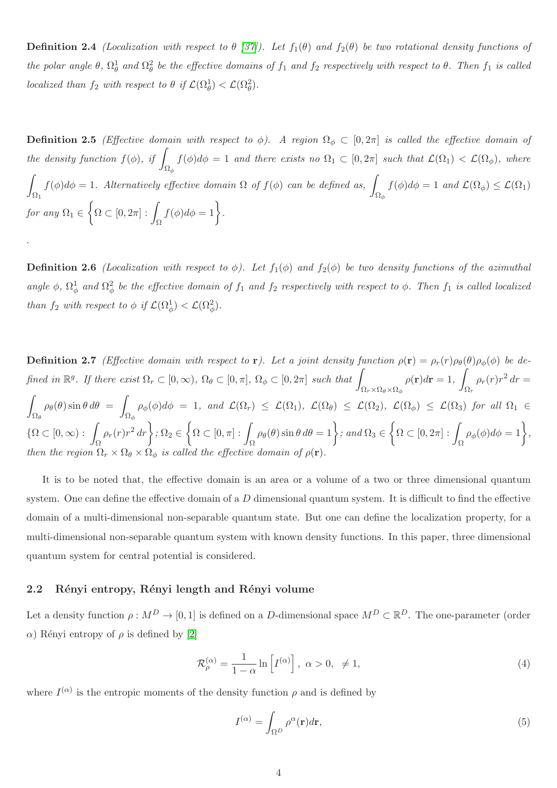**Definition 2.4** (Localization with respect to  $\theta$  [\[37\]](#page-27-7)). Let  $f_1(\theta)$  and  $f_2(\theta)$  be two rotational density functions of the polar angle  $\theta$ ,  $\Omega_{\theta}^1$  and  $\Omega_{\theta}^2$  be the effective domains of  $f_1$  and  $f_2$  respectively with respect to  $\theta$ . Then  $f_1$  is called localized than  $f_2$  with respect to  $\theta$  if  $\mathcal{L}(\Omega_\theta^1) < \mathcal{L}(\Omega_\theta^2)$ .

<span id="page-3-1"></span>**Definition 2.5** (Effective domain with respect to  $\phi$ ). A region  $\Omega_{\phi} \subset [0, 2\pi]$  is called the effective domain of the density function  $f(\phi)$ , if  $\int_{\Omega_{\phi}} f(\phi) d\phi = 1$  and there exists no  $\Omega_1 \subset [0, 2\pi]$  such that  $\mathcal{L}(\Omega_1) < \mathcal{L}(\Omega_{\phi})$ , where Z  $\Omega_1$  $f(\phi)d\phi = 1$ . Alternatively effective domain  $\Omega$  of  $f(\phi)$  can be defined as,  $\int_{\Omega_{\phi}} f(\phi) d\phi = 1$  and  $\mathcal{L}(\Omega_{\phi}) \leq \mathcal{L}(\Omega_1)$ for any  $\Omega_1 \in$  $\biggl\{ \Omega \subset [0,2\pi] : \int_{\Omega}$  $f(\phi)d\phi=1$ .

**Definition 2.6** (Localization with respect to  $\phi$ ). Let  $f_1(\phi)$  and  $f_2(\phi)$  be two density functions of the azimuthal angle  $\phi$ ,  $\Omega_{\phi}^1$  and  $\Omega_{\phi}^2$  be the effective domain of  $f_1$  and  $f_2$  respectively with respect to  $\phi$ . Then  $f_1$  is called localized than  $f_2$  with respect to  $\phi$  if  $\mathcal{L}(\Omega_\phi^1) < \mathcal{L}(\Omega_\phi^2)$ .

<span id="page-3-2"></span>**Definition 2.7** (Effective domain with respect to r). Let a joint density function  $\rho(\mathbf{r}) = \rho_r(r)\rho_\theta(\theta)\rho_\phi(\phi)$  be defined in  $\mathbb{R}^g$ . If there exist  $\Omega_r \subset [0,\infty)$ ,  $\Omega_\theta \subset [0,\pi]$ ,  $\Omega_\phi \subset [0,2\pi]$  such that  $\Omega_r \times \Omega_\theta \times \Omega_\phi$  $\rho(\mathbf{r})d\mathbf{r}=1,$ Z  $\Omega_r$  $\rho_r(r)r^2 dr =$ Z  $\Omega_\theta$  $\rho_{\theta}(\theta)$  sin  $\theta$  d $\theta$  =  $\mathcal{L}(\Omega_{\phi}) \cap \rho_{\phi}(\phi) d\phi = 1$ , and  $\mathcal{L}(\Omega_r) \leq \mathcal{L}(\Omega_1)$ ,  $\mathcal{L}(\Omega_{\theta}) \leq \mathcal{L}(\Omega_2)$ ,  $\mathcal{L}(\Omega_{\phi}) \leq \mathcal{L}(\Omega_3)$  for all  $\Omega_1 \in \Omega_{\phi}$  $\{\Omega \subset [0,\infty) : \int_{\Omega}$  $\rho_r(r)r^2 dr$ ,  $\Omega_2 \in$  $\biggl\{ \Omega \subset [0, \pi] : \int_{\Omega}$  $\rho_{\theta}(\theta)$  sin  $\theta d\theta = 1$  ; and  $\Omega_3 \in$  $\biggl\{ \Omega \subset [0,2\pi] : \int_{\Omega}$  $\rho_{\phi}(\phi)d\phi=1\bigg\},\,$ then the region  $\Omega_r \times \Omega_\theta \times \Omega_\phi$  is called the effective domain of  $\rho(\mathbf{r})$ .

It is to be noted that, the effective domain is an area or a volume of a two or three dimensional quantum system. One can define the effective domain of a  $D$  dimensional quantum system. It is difficult to find the effective domain of a multi-dimensional non-separable quantum state. But one can define the localization property, for a multi-dimensional non-separable quantum system with known density functions. In this paper, three dimensional quantum system for central potential is considered.

### 2.2 Rényi entropy, Rényi length and Rényi volume

.

Let a density function  $\rho: M^D \to [0,1]$  is defined on a D-dimensional space  $M^D \subset \mathbb{R}^D$ . The one-parameter (order  $\alpha$ ) Rényi entropy of  $\rho$  is defined by [\[2\]](#page-24-1)

<span id="page-3-0"></span>
$$
\mathcal{R}_{\rho}^{(\alpha)} = \frac{1}{1-\alpha} \ln \left[ I^{(\alpha)} \right], \ \alpha > 0, \ \neq 1,\tag{4}
$$

where  $I^{(\alpha)}$  is the entropic moments of the density function  $\rho$  and is defined by

$$
I^{(\alpha)} = \int_{\Omega^D} \rho^{\alpha}(\mathbf{r}) d\mathbf{r},\tag{5}
$$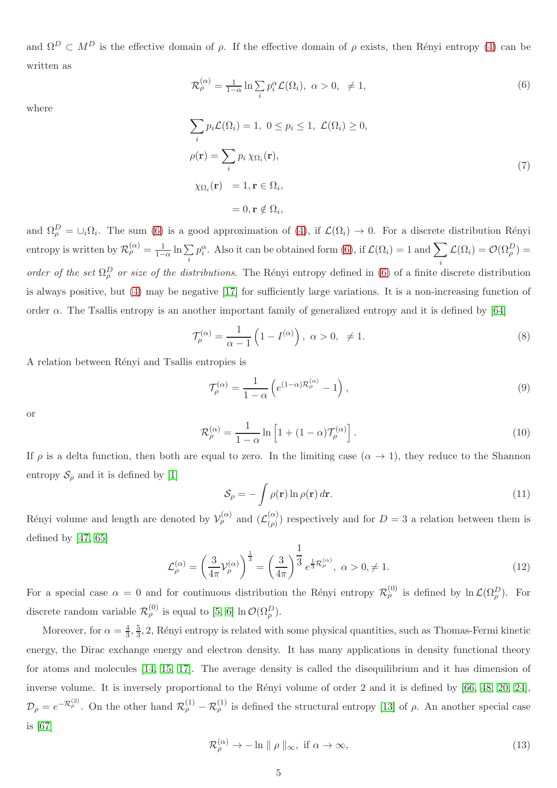and  $\Omega^D \subset M^D$  is the effective domain of  $\rho$ . If the effective domain of  $\rho$  exists, then Rényi entropy [\(4\)](#page-3-0) can be written as

<span id="page-4-0"></span>
$$
\mathcal{R}_{\rho}^{(\alpha)} = \frac{1}{1-\alpha} \ln \sum_{i} p_i^{\alpha} \mathcal{L}(\Omega_i), \ \alpha > 0, \ \neq 1,\tag{6}
$$

where

$$
\sum_{i} p_{i} \mathcal{L}(\Omega_{i}) = 1, \ 0 \le p_{i} \le 1, \ \mathcal{L}(\Omega_{i}) \ge 0,
$$
  
\n
$$
\rho(\mathbf{r}) = \sum_{i} p_{i} \chi_{\Omega_{i}}(\mathbf{r}),
$$
  
\n
$$
\chi_{\Omega_{i}}(\mathbf{r}) = 1, \mathbf{r} \in \Omega_{i},
$$
  
\n
$$
= 0, \mathbf{r} \notin \Omega_{i},
$$
\n(7)

and  $\Omega_{\rho}^D = \cup_i \Omega_i$ . The sum [\(6\)](#page-4-0) is a good approximation of [\(4\)](#page-3-0), if  $\mathcal{L}(\Omega_i) \to 0$ . For a discrete distribution Rényi entropy is written by  $\mathcal{R}_{\rho}^{(\alpha)} = \frac{1}{1-\alpha} \ln \sum_{i}$ i  $p_i^{\alpha}$ . Also it can be obtained form [\(6\)](#page-4-0), if  $\mathcal{L}(\Omega_i) = 1$  and  $\sum$ i  $\mathcal{L}(\Omega_i) = \mathcal{O}(\Omega_\rho^D) =$ order of the set  $\Omega_{\rho}^{D}$  or size of the distributions. The Rényi entropy defined in [\(6\)](#page-4-0) of a finite discrete distribution is always positive, but [\(4\)](#page-3-0) may be negative [\[17\]](#page-25-2) for sufficiently large variations. It is a non-increasing function of order  $\alpha$ . The Tsallis entropy is an another important family of generalized entropy and it is defined by [\[64\]](#page-28-9)

$$
\mathcal{T}_{\rho}^{(\alpha)} = \frac{1}{\alpha - 1} \left( 1 - I^{(\alpha)} \right), \ \alpha > 0, \ \neq 1. \tag{8}
$$

A relation between Rényi and Tsallis entropies is

$$
\mathcal{T}_{\rho}^{(\alpha)} = \frac{1}{1 - \alpha} \left( e^{(1 - \alpha)\mathcal{R}_{\rho}^{(\alpha)}} - 1 \right),\tag{9}
$$

or

$$
\mathcal{R}_{\rho}^{(\alpha)} = \frac{1}{1-\alpha} \ln \left[ 1 + (1-\alpha) \mathcal{T}_{\rho}^{(\alpha)} \right]. \tag{10}
$$

If  $\rho$  is a delta function, then both are equal to zero. In the limiting case  $(\alpha \to 1)$ , they reduce to the Shannon entropy  $\mathcal{S}_{\rho}$  and it is defined by [\[1\]](#page-24-0)

$$
S_{\rho} = -\int \rho(\mathbf{r}) \ln \rho(\mathbf{r}) d\mathbf{r}.
$$
 (11)

Rényi volume and length are denoted by  $\mathcal{V}_{\rho}^{(\alpha)}$  and  $(\mathcal{L}_{(\rho)}^{(\alpha)}$  $\binom{\alpha}{\rho}$  respectively and for  $D=3$  a relation between them is defined by [\[47,](#page-27-17) [65\]](#page-28-10)

$$
\mathcal{L}_{\rho}^{(\alpha)} = \left(\frac{3}{4\pi}\mathcal{V}_{\rho}^{(\alpha)}\right)^{\frac{1}{3}} = \left(\frac{3}{4\pi}\right)^{\frac{1}{3}} e^{\frac{1}{3}\mathcal{R}_{\rho}^{(\alpha)}}, \ \alpha > 0, \neq 1.
$$
\n(12)

For a special case  $\alpha = 0$  and for continuous distribution the Rényi entropy  $\mathcal{R}_{\rho}^{(0)}$  is defined by  $\ln \mathcal{L}(\Omega_{\rho}^D)$ . For discrete random variable  $\mathcal{R}_{\rho}^{(0)}$  is equal to [\[5,](#page-24-4) [6\]](#page-24-5) ln  $\mathcal{O}(\Omega_{\rho}^D)$ .

Moreover, for  $\alpha = \frac{4}{3}$  $\frac{4}{3}, \frac{5}{3}$  $\frac{5}{3}$ , 2, Rényi entropy is related with some physical quantities, such as Thomas-Fermi kinetic energy, the Dirac exchange energy and electron density. It has many applications in density functional theory for atoms and molecules [\[14,](#page-25-5) [15,](#page-25-6) [17\]](#page-25-2). The average density is called the disequilibrium and it has dimension of inverse volume. It is inversely proportional to the Rényi volume of order 2 and it is defined by [\[66,](#page-28-11) [48,](#page-27-18) [20,](#page-26-2) [24\]](#page-26-5),  $\mathcal{D}_{\rho} = e^{-\mathcal{R}_{\rho}^{(2)}}$ . On the other hand  $\mathcal{R}_{\rho}^{(1)} - \mathcal{R}_{\rho}^{(1)}$  is defined the structural entropy [\[13\]](#page-25-1) of  $\rho$ . An another special case is [\[67\]](#page-28-12)

$$
\mathcal{R}_{\rho}^{(\alpha)} \to -\ln \|\rho\|_{\infty}, \text{ if } \alpha \to \infty,
$$
\n(13)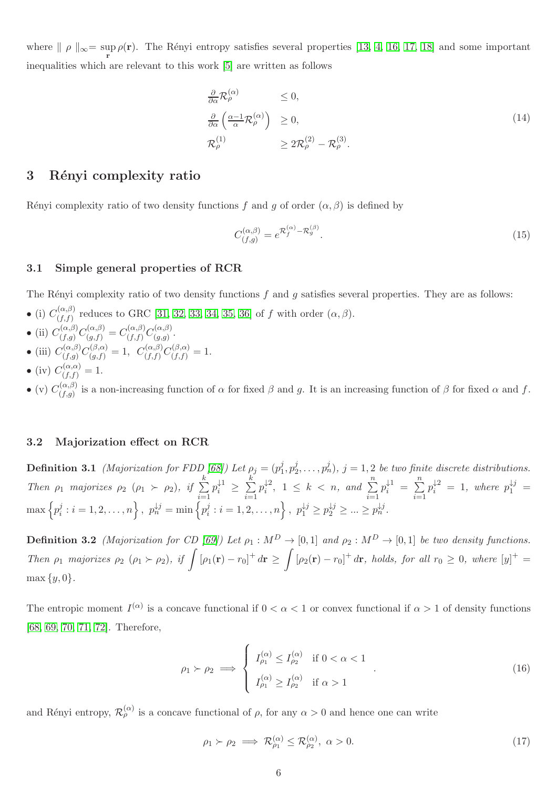where  $\| \rho \|_{\infty} = \sup_{\mathbf{r}} \rho(\mathbf{r}).$  The Rényi entropy satisfies several properties [\[13,](#page-25-1) [4,](#page-24-3) [16,](#page-25-3) [17,](#page-25-2) [18\]](#page-25-4) and some important inequalities which are relevant to this work [\[5\]](#page-24-4) are written as follows

<span id="page-5-1"></span>
$$
\frac{\partial}{\partial \alpha} \mathcal{R}_{\rho}^{(\alpha)} \leq 0, \n\frac{\partial}{\partial \alpha} \left( \frac{\alpha - 1}{\alpha} \mathcal{R}_{\rho}^{(\alpha)} \right) \geq 0, \n\mathcal{R}_{\rho}^{(1)} \geq 2\mathcal{R}_{\rho}^{(2)} - \mathcal{R}_{\rho}^{(3)}.
$$
\n(14)

## <span id="page-5-0"></span>3 Rényi complexity ratio

Rényi complexity ratio of two density functions f and g of order  $(\alpha, \beta)$  is defined by

<span id="page-5-2"></span>
$$
C_{(f,g)}^{(\alpha,\beta)} = e^{\mathcal{R}_f^{(\alpha)} - \mathcal{R}_g^{(\beta)}}.
$$
\n(15)

#### 3.1 Simple general properties of RCR

The Rényi complexity ratio of two density functions  $f$  and  $g$  satisfies several properties. They are as follows:

• (i)  $C_{(f,f)}^{(\alpha,\beta)}$  $(G<sub>(f,f)</sub>)$  reduces to GRC [\[31,](#page-27-1) [32,](#page-27-2) [33,](#page-27-3) [34,](#page-27-4) [35,](#page-27-5) [36\]](#page-27-6) of f with order  $(\alpha, \beta)$ .

• (ii) 
$$
C_{(f,g)}^{(\alpha,\beta)}C_{(g,f)}^{(\alpha,\beta)} = C_{(f,f)}^{(\alpha,\beta)}C_{(g,g)}^{(\alpha,\beta)}
$$
.

- 
- (iii)  $C_{(f,g)}^{(\alpha,\beta)}$  $C^{(\alpha,\beta)}_{(f,g)}C^{(\beta,\alpha)}_{(g,f)}=1, \ \ C^{(\alpha,\beta)}_{(f,f)}$  $C^{(\alpha,\beta)}_{(f,f)}C^{(\beta,\alpha)}_{(f,f)}=1.$
- (iv)  $C_{(f,f)}^{(\alpha,\alpha)} = 1.$

 $\bullet$  (v)  $C_{(f,g)}^{(\alpha,\beta)}$  $(f,g)$  is a non-increasing function of  $\alpha$  for fixed  $\beta$  and g. It is an increasing function of  $\beta$  for fixed  $\alpha$  and f.

#### 3.2 Majorization effect on RCR

**Definition 3.1** (Majorization for FDD [\[68\]](#page-28-13)) Let  $\rho_j = (p_1^j)$  $j_{1}^{j}, p_{2}^{j}$  $(p_1^j, \ldots, p_n^j), j = 1, 2$  be two finite discrete distributions. Then  $\rho_1$  majorizes  $\rho_2$   $(\rho_1 \succ \rho_2)$ , if  $\sum_{n=1}^k$  $i=1$  $p_i^{\downarrow 1} \geq \sum_{i=1}^k$  $i=1$  $p_i^{\downarrow 2}$ ,  $1 \leq k < n$ , and  $\sum_{i=1}^n$  $p_i^{\downarrow 1} = \sum_{i=1}^n$  $i=1$  $p_i^{\downarrow 2} = 1$ , where  $p_1^{\downarrow j} =$  $\max\left\{p_i^j\right\}$  $\{p_i^j : i = 1, 2, \dots, n\},\ \ p_n^{\downarrow j} = \min\left\{p_i^j\right\}$  $p_1^{j}: i = 1, 2, ..., n$ ,  $p_1^{\downarrow j} \ge p_2^{\downarrow j} \ge ... \ge p_n^{\downarrow j}$ .

**Definition 3.2** (Majorization for CD [\[69\]](#page-28-14)) Let  $\rho_1 : M^D \to [0,1]$  and  $\rho_2 : M^D \to [0,1]$  be two density functions. Then  $\rho_1$  majorizes  $\rho_2$   $(\rho_1 \succ \rho_2)$ , if  $\int [\rho_1(\mathbf{r}) - r_0]^+ d\mathbf{r} \geq$ Z  $[\rho_2(\mathbf{r}) - r_0]^+ d\mathbf{r}$ , holds, for all  $r_0 \geq 0$ , where  $[y]^+ =$  $\max \{y, 0\}.$ 

The entropic moment  $I^{(\alpha)}$  is a concave functional if  $0 < \alpha < 1$  or convex functional if  $\alpha > 1$  of density functions [\[68,](#page-28-13) [69,](#page-28-14) [70,](#page-28-15) [71,](#page-28-16) [72\]](#page-28-17). Therefore,

$$
\rho_1 \succ \rho_2 \implies \begin{cases} I_{\rho_1}^{(\alpha)} \le I_{\rho_2}^{(\alpha)} & \text{if } 0 < \alpha < 1 \\ I_{\rho_1}^{(\alpha)} \ge I_{\rho_2}^{(\alpha)} & \text{if } \alpha > 1 \end{cases} \tag{16}
$$

and Rényi entropy,  $\mathcal{R}_{\rho}^{(\alpha)}$  is a concave functional of  $\rho$ , for any  $\alpha > 0$  and hence one can write

$$
\rho_1 \succ \rho_2 \implies \mathcal{R}^{(\alpha)}_{\rho_1} \le \mathcal{R}^{(\alpha)}_{\rho_2}, \ \alpha > 0. \tag{17}
$$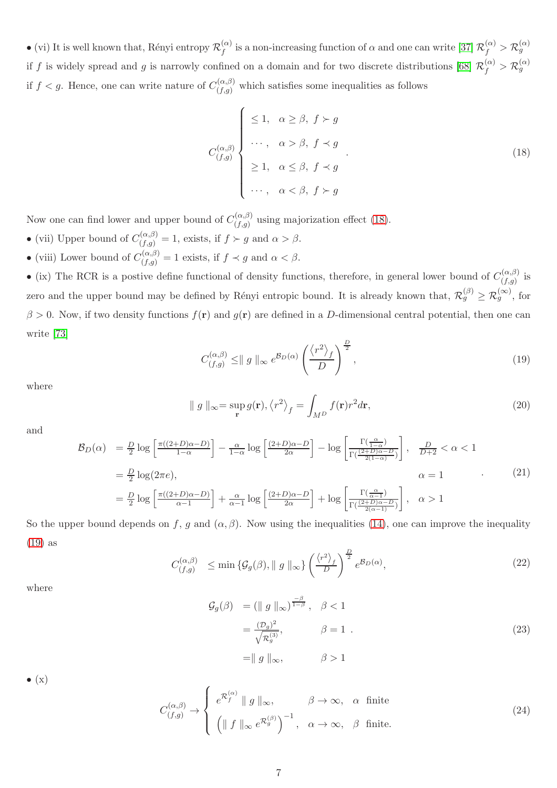$\bullet$  (vi) It is well known that, Rényi entropy  $\mathcal{R}_f^{(\alpha)}$  $f^{(\alpha)}_f$  is a non-increasing function of  $\alpha$  and one can write [\[37\]](#page-27-7)  $\mathcal{R}_f^{(\alpha)} > \mathcal{R}_g^{(\alpha)}$ if f is widely spread and g is narrowly confined on a domain and for two discrete distributions [\[68\]](#page-28-13)  $\mathcal{R}_f^{(\alpha)} > \mathcal{R}_g^{(\alpha)}$ if  $f < g$ . Hence, one can write nature of  $C_{(f,g)}^{(\alpha,\beta)}$  $(f,g)$  which satisfies some inequalities as follows

<span id="page-6-0"></span>
$$
C_{(f,g)}^{(\alpha,\beta)} \begin{cases} \leq 1, & \alpha \geq \beta, \ f \succ g \\ \cdots, & \alpha > \beta, \ f \prec g \\ \geq 1, & \alpha \leq \beta, \ f \prec g \\ \cdots, & \alpha < \beta, \ f \succ g \end{cases}
$$
 (18)

Now one can find lower and upper bound of  $C_{(f,q)}^{(\alpha,\beta)}$  $\binom{\alpha,\beta}{f,g}$  using majorization effect [\(18\)](#page-6-0).

- (vii) Upper bound of  $C_{(f,g)}^{(\alpha,\beta)} = 1$ , exists, if  $f \succ g$  and  $\alpha > \beta$ .
- (viii) Lower bound of  $C_{(f,g)}^{(\alpha,\beta)} = 1$  exists, if  $f \prec g$  and  $\alpha < \beta$ .

• (ix) The RCR is a postive define functional of density functions, therefore, in general lower bound of  $C_{(f,g)}^{(\alpha,\beta)}$  $\int_{(f,g)}^{(\alpha,\rho)}$  is zero and the upper bound may be defined by Rényi entropic bound. It is already known that,  $\mathcal{R}_g^{(\beta)} \geq \mathcal{R}_g^{(\infty)}$ , for  $\beta > 0$ . Now, if two density functions  $f(\mathbf{r})$  and  $g(\mathbf{r})$  are defined in a D-dimensional central potential, then one can write [\[73\]](#page-28-18)

<span id="page-6-1"></span>
$$
C_{(f,g)}^{(\alpha,\beta)} \leq ||g||_{\infty} e^{\mathcal{B}_D(\alpha)} \left(\frac{\langle r^2 \rangle_f}{D}\right)^{\frac{D}{2}}, \qquad (19)
$$

where

$$
\| g \|_{\infty} = \sup_{\mathbf{r}} g(\mathbf{r}), \langle r^2 \rangle_f = \int_{M^D} f(\mathbf{r}) r^2 d\mathbf{r}, \tag{20}
$$

and

$$
\mathcal{B}_D(\alpha) = \frac{D}{2} \log \left[ \frac{\pi((2+D)\alpha - D)}{1-\alpha} \right] - \frac{\alpha}{1-\alpha} \log \left[ \frac{(2+D)\alpha - D}{2\alpha} \right] - \log \left[ \frac{\Gamma(\frac{\alpha}{1-\alpha})}{\Gamma(\frac{(2+D)\alpha - D}{2(1-\alpha)})} \right], \quad \frac{D}{D+2} < \alpha < 1
$$

$$
= \frac{D}{2} \log(2\pi e), \qquad \alpha = 1 \qquad (21)
$$

$$
= \frac{D}{2} \log \left[ \frac{\pi((2+D)\alpha - D)}{\alpha - 1} \right] + \frac{\alpha}{\alpha - 1} \log \left[ \frac{(2+D)\alpha - D}{2\alpha} \right] + \log \left[ \frac{\Gamma(\frac{\alpha}{\alpha - 1})}{\Gamma(\frac{(2+D)\alpha - D}{2(\alpha - 1)})} \right], \quad \alpha > 1
$$

So the upper bound depends on f, g and  $(\alpha, \beta)$ . Now using the inequalities [\(14\)](#page-5-1), one can improve the inequality [\(19\)](#page-6-1) as

$$
C_{(f,g)}^{(\alpha,\beta)} \le \min\left\{ \mathcal{G}_g(\beta), \| g \|_{\infty} \right\} \left( \frac{\langle r^2 \rangle_f}{D} \right)^{\frac{D}{2}} e^{\mathcal{B}_D(\alpha)}, \tag{22}
$$

where

$$
\mathcal{G}_{g}(\beta) = (\parallel g \parallel_{\infty})^{\frac{-\beta}{1-\beta}}, \quad \beta < 1
$$

$$
= \frac{(\mathcal{D}_{g})^{2}}{\sqrt{\mathcal{R}_{g}^{(3)}}}, \qquad \beta = 1 .
$$

$$
= \parallel g \parallel_{\infty}, \qquad \beta > 1
$$
\n(23)

 $\bullet$  (x)

$$
C_{(f,g)}^{(\alpha,\beta)} \to \begin{cases} e^{\mathcal{R}_f^{(\alpha)}} \parallel g \parallel_{\infty}, & \beta \to \infty, \alpha \text{ finite} \\ \left( \parallel f \parallel_{\infty} e^{\mathcal{R}_g^{(\beta)}} \right)^{-1}, & \alpha \to \infty, \beta \text{ finite.} \end{cases}
$$
 (24)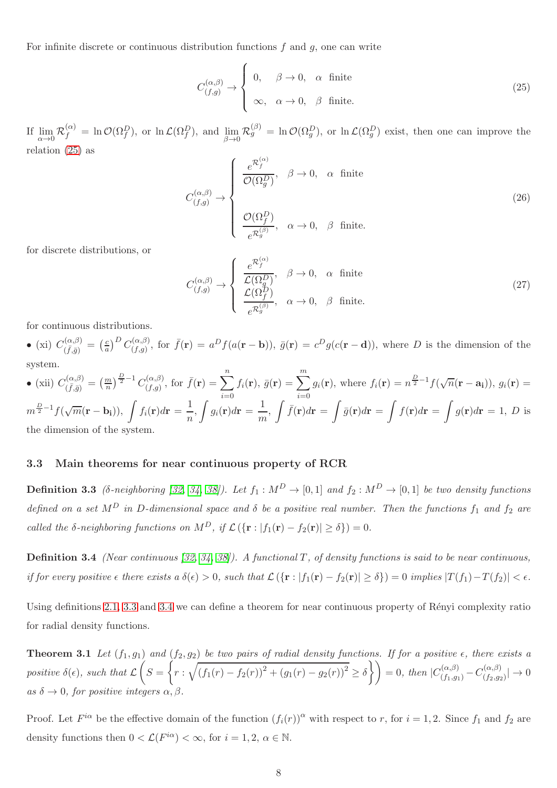For infinite discrete or continuous distribution functions  $f$  and  $g$ , one can write

<span id="page-7-0"></span>
$$
C_{(f,g)}^{(\alpha,\beta)} \to \begin{cases} 0, & \beta \to 0, \alpha \text{ finite} \\ \infty, & \alpha \to 0, \beta \text{ finite.} \end{cases}
$$
 (25)

If lim  $\lim_{\alpha \to 0} \mathcal{R}_f^{(\alpha)} = \ln \mathcal{O}(\Omega_f^D)$ , or  $\ln \mathcal{L}(\Omega_f^D)$ , and  $\lim_{\beta \to 0}$  $\lim_{\beta \to 0} \mathcal{R}_g^{(\beta)} = \ln \mathcal{O}(\Omega_g^D)$ , or  $\ln \mathcal{L}(\Omega_g^D)$  exist, then one can improve the relation [\(25\)](#page-7-0) as

$$
C_{(f,g)}^{(\alpha,\beta)} \rightarrow \begin{cases} \frac{e^{\mathcal{R}_f^{(\alpha)}}}{\mathcal{O}(\Omega_g^D)}, & \beta \to 0, \alpha \text{ finite} \\ & \\ \frac{\mathcal{O}(\Omega_f^D)}{e^{\mathcal{R}_g^{(\beta)}}}, & \alpha \to 0, \beta \text{ finite.} \end{cases}
$$
(26)

for discrete distributions, or

$$
C_{(f,g)}^{(\alpha,\beta)} \rightarrow \begin{cases} \frac{e^{\mathcal{R}_f^{(\alpha)}}}{\mathcal{L}(\Omega_g^D)}, & \beta \to 0, \alpha \text{ finite} \\ \frac{\mathcal{L}(\Omega_f^D)}{e^{\mathcal{R}_g^{(\beta)}}}, & \alpha \to 0, \beta \text{ finite.} \end{cases}
$$
 (27)

for continuous distributions.

• (xi)  $C_{(\bar{f},\bar{g})}^{(\alpha,\beta)}$  $\frac{d(\alpha,\beta)}{d(\bar f,\bar g)}=\Big(\frac{c}{a}$  $\frac{c}{a}$ <sup>D</sup>  $C_{(f,g)}^{(\alpha,\beta)}$  $(\alpha, \beta),$  for  $\bar{f}(\mathbf{r}) = a^D f(a(\mathbf{r} - \mathbf{b})), \bar{g}(\mathbf{r}) = c^D g(c(\mathbf{r} - \mathbf{d})),$  where D is the dimension of the system.

• (xii) 
$$
C_{(\bar{f},\bar{g})}^{(\alpha,\beta)} = \left(\frac{m}{n}\right)^{\frac{D}{2}-1} C_{(f,g)}^{(\alpha,\beta)}
$$
, for  $\bar{f}(\mathbf{r}) = \sum_{i=0}^{n} f_i(\mathbf{r}), \bar{g}(\mathbf{r}) = \sum_{i=0}^{m} g_i(\mathbf{r}),$  where  $f_i(\mathbf{r}) = n^{\frac{D}{2}-1} f(\sqrt{n}(\mathbf{r}-\mathbf{a_i})), g_i(\mathbf{r}) =$   
\n $m^{\frac{D}{2}-1} f(\sqrt{m}(\mathbf{r}-\mathbf{b_i})), \int f_i(\mathbf{r}) d\mathbf{r} = \frac{1}{n}, \int g_i(\mathbf{r}) d\mathbf{r} = \frac{1}{m}, \int \bar{f}(\mathbf{r}) d\mathbf{r} = \int \bar{g}(\mathbf{r}) d\mathbf{r} = \int g(\mathbf{r}) d\mathbf{r} = 1, D$  is the dimension of the system.

the dimension of the system.

#### <span id="page-7-1"></span>3.3 Main theorems for near continuous property of RCR

**Definition 3.3** (δ-neighboring [\[32,](#page-27-2) [34,](#page-27-4) [38\]](#page-27-8)). Let  $f_1 : M^D \to [0,1]$  and  $f_2 : M^D \to [0,1]$  be two density functions defined on a set  $M^D$  in D-dimensional space and  $\delta$  be a positive real number. Then the functions  $f_1$  and  $f_2$  are called the δ-neighboring functions on  $M^D$ , if  $\mathcal{L}(\{r : |f_1(r) - f_2(r)| \ge \delta\}) = 0$ .

<span id="page-7-2"></span>**Definition 3.4** (Near continuous [\[32,](#page-27-2) [34,](#page-27-4) [38\]](#page-27-8)). A functional T, of density functions is said to be near continuous, if for every positive  $\epsilon$  there exists a  $\delta(\epsilon) > 0$ , such that  $\mathcal{L}(\{\mathbf{r} : |f_1(\mathbf{r}) - f_2(\mathbf{r})| \ge \delta\}) = 0$  implies  $|T(f_1) - T(f_2)| < \epsilon$ .

<span id="page-7-3"></span>Using definitions [2.1,](#page-2-2) [3.3](#page-7-1) and [3.4](#page-7-2) we can define a theorem for near continuous property of Rényi complexity ratio for radial density functions.

**Theorem 3.1** Let  $(f_1, g_1)$  and  $(f_2, g_2)$  be two pairs of radial density functions. If for a positive  $\epsilon$ , there exists a positive  $\delta(\epsilon)$ , such that  $\mathcal L$  $\sqrt{ }$  $S =$  $\overline{1}$  $r:\sqrt{(f_1(r)-f_2(r))^2+(g_1(r)-g_2(r))^2}\geq \delta\}$   $=0$ , then  $|C_{(f_1,g_1)}^{(\alpha,\beta)}-C_{(f_2,g_2)}^{(\alpha,\beta)}|$  $\left| \frac{\left( \alpha ,\beta \right) }{\left( f_{2},g_{2}\right) }\right| \rightarrow 0$ as  $\delta \to 0$ , for positive integers  $\alpha, \beta$ .

Proof. Let  $F^{i\alpha}$  be the effective domain of the function  $(f_i(r))^{\alpha}$  with respect to r, for  $i = 1, 2$ . Since  $f_1$  and  $f_2$  are density functions then  $0 < \mathcal{L}(F^{i\alpha}) < \infty$ , for  $i = 1, 2, \alpha \in \mathbb{N}$ .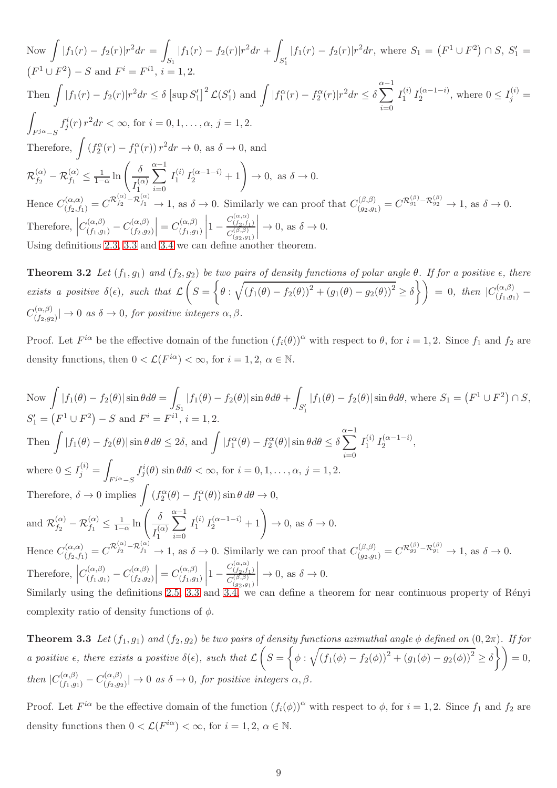Now  $\int |f_1(r) - f_2(r)| r^2 dr =$ Z  $\int_{S_1} |f_1(r) - f_2(r)| r^2 dr +$  $\int_{S'_1} |f_1(r) - f_2(r)|r^2 dr$ , where  $S_1 = (F^1 \cup F^2) \cap S$ ,  $S'_1 = S'_2$  $(F^1 \cup F^2) - S$  and  $F^i = F^{i1}$ ,  $i = 1, 2$ . Then  $\int |f_1(r) - f_2(r)|r^2 dr \leq \delta \left[ \sup S'_1 \right]^2 \mathcal{L}(S'_1)$  and  $\int |f_1^{\alpha}(r) - f_2^{\alpha}(r)|r^2 dr \leq \delta \sum_{i=1}^{\alpha-1} I_1^{(i)}$  $i=0$  $I_1^{(i)} I_2^{(\alpha-1-i)}$ , where  $0 \leq I_j^{(i)} =$ Z  $F^{j\alpha}-S$  $f_j^i(r) r^2 dr < \infty$ , for  $i = 0, 1, ..., \alpha, j = 1, 2$ . Therefore,  $\int (f_2^{\alpha}(r) - f_1^{\alpha}(r)) r^2 dr \to 0$ , as  $\delta \to 0$ , and  $\mathcal{R}_{f_2}^{(\alpha)}$  $f_2^{(\alpha)} - \mathcal{R}_{f_1}^{(\alpha)} \leq \frac{1}{1-\alpha} \ln \left( \frac{\delta}{\tau^{(\alpha)}} \right)$  $I_1^{(\alpha)}$ 1  $i=0$  $\sum_{i=1}^{\alpha-1} I_1^{(i)}$  $I_1^{(i)} I_2^{(\alpha-1-i)} + 1$   $\to 0$ , as  $\delta \to 0$ . Hence  $C_{(f_2,f_1)}^{(\alpha,\alpha)} = C^{\mathcal{R}_{f_2}^{(\alpha)}-\mathcal{R}_{f_1}^{(\alpha)}} \to 1$ , as  $\delta \to 0$ . Similarly we can proof that  $C_{(g_2,g_1)}^{(\beta,\beta)} = C^{\mathcal{R}_{g_1}^{(\beta)}-\mathcal{R}_{g_2}^{(\beta)}} \to 1$ , as  $\delta \to 0$ . Therefore,  $\left| C_{(f_1,g_1)}^{(\alpha,\beta)} - C_{(f_2,g_2)}^{(\alpha,\beta)} \right|$  $(f_2,g_2)$  $\Big| = C_{(f_1, g_1)}^{(\alpha, \beta)}$  $(f_1,g_1)$  $\left|1-\frac{C_{\left(\beta,\beta\right)}^{\left(\alpha,\alpha\right)}}{C_{\left(g_2,g_1\right)}^{\left(\beta,\beta\right)}}\right|$  $C_{\left( g_{2},g_{1}\right) }^{\left( \beta ,\beta \right) }$  $\Big\vert \to 0$ , as  $\delta \to 0$ . Using definitions [2.3,](#page-2-3) [3.3](#page-7-1) and [3.4](#page-7-2) we can define another theorem.

<span id="page-8-0"></span>**Theorem 3.2** Let  $(f_1, g_1)$  and  $(f_2, g_2)$  be two pairs of density functions of polar angle  $\theta$ . If for a positive  $\epsilon$ , there exists a positive  $\delta(\epsilon)$ , such that  $\mathcal L$  $\sqrt{ }$  $S =$  $\sqrt{ }$  $\theta : \sqrt{(f_1(\theta) - f_2(\theta))^2 + (g_1(\theta) - g_2(\theta))^2} \ge \delta \}$  = 0, then  $|C_{(f_1, g_1)}^{(\alpha, \beta)}$  - $C^{(\alpha,\beta)}_{(f_0, \alpha)}$  $\left|\frac{\partial f(x,\beta)}{\partial f(x,g_2)}\right| \to 0$  as  $\delta \to 0$ , for positive integers  $\alpha, \beta$ .

Proof. Let  $F^{i\alpha}$  be the effective domain of the function  $(f_i(\theta))^{\alpha}$  with respect to  $\theta$ , for  $i = 1, 2$ . Since  $f_1$  and  $f_2$  are density functions, then  $0 < \mathcal{L}(F^{i\alpha}) < \infty$ , for  $i = 1, 2, \alpha \in \mathbb{N}$ .

Now 
$$
\int |f_1(\theta) - f_2(\theta)| \sin \theta d\theta = \int_{S_1} |f_1(\theta) - f_2(\theta)| \sin \theta d\theta + \int_{S'_1} |f_1(\theta) - f_2(\theta)| \sin \theta d\theta
$$
, where  $S_1 = (F^1 \cup F^2) \cap S$ ,  
\n $S'_1 = (F^1 \cup F^2) - S$  and  $F^i = F^{i1}$ ,  $i = 1, 2$ .  
\nThen  $\int |f_1(\theta) - f_2(\theta)| \sin \theta d\theta \le 2\delta$ , and  $\int |f_1^{\alpha}(\theta) - f_2^{\alpha}(\theta)| \sin \theta d\theta \le \delta \sum_{i=0}^{\alpha-1} I_1^{(i)} I_2^{(\alpha-1-i)}$ ,  
\nwhere  $0 \le I_j^{(i)} = \int_{F^{j\alpha} - S} f_j^{i}(\theta) \sin \theta d\theta < \infty$ , for  $i = 0, 1, ..., \alpha$ ,  $j = 1, 2$ .  
\nTherefore,  $\delta \to 0$  implies  $\int (f_2^{\alpha}(\theta) - f_1^{\alpha}(\theta)) \sin \theta d\theta \to 0$ ,  
\nand  $\mathcal{R}_{f_2}^{(\alpha)} - \mathcal{R}_{f_1}^{(\alpha)} \le \frac{1}{1-\alpha} \ln \left( \frac{\delta}{I_1^{(\alpha)}} \sum_{i=0}^{\alpha-1} I_1^{(i)} I_2^{(\alpha-1-i)} + 1 \right) \to 0$ , as  $\delta \to 0$ .  
\nHence  $C_{(f_2, f_1)}^{(\alpha, \alpha)} = C^{\mathcal{R}_{f_2}^{(\alpha)} - \mathcal{R}_{f_1}^{(\alpha)}} \to 1$ , as  $\delta \to 0$ . Similarly we can proof that  $C_{(g_2, g_1)}^{(\beta, \beta)} = C^{\mathcal{R}_{g_2}^{(\beta)} - \mathcal{R}_{g_1}^{(\beta)}} \to 1$ , as  $\delta \to 0$ .  
\nTherefore,  $\left| C_{(f_1, g_1)}^{(\alpha, \beta)} - C_{(f_2, g_2)}^{(\alpha, \beta)} \right| = C_{(f_1, g_1)}^{(\alpha, \beta)} \left| 1 - \frac{C_{(f_$ 

<span id="page-8-1"></span>**Theorem 3.3** Let  $(f_1, g_1)$  and  $(f_2, g_2)$  be two pairs of density functions azimuthal angle  $\phi$  defined on  $(0, 2\pi)$ . If for a positive  $\epsilon$ , there exists a positive  $\delta(\epsilon)$ , such that  $\mathcal L$  $\sqrt{ }$  $S =$  $\sqrt{ }$  $\phi : \sqrt{(f_1(\phi) - f_2(\phi))^2 + (g_1(\phi) - g_2(\phi))^2} \ge \delta \left\{ \right\} = 0,$ then  $|C_{(f_1,g_1)}^{(\alpha,\beta)} - C_{(f_2,g_2)}^{(\alpha,\beta)}|$  $\left|\frac{\partial f(x,y)}{\partial f(x,y)}\right| \to 0$  as  $\delta \to 0$ , for positive integers  $\alpha, \beta$ .

Proof. Let  $F^{i\alpha}$  be the effective domain of the function  $(f_i(\phi))^{\alpha}$  with respect to  $\phi$ , for  $i = 1, 2$ . Since  $f_1$  and  $f_2$  are density functions then  $0 < \mathcal{L}(F^{i\alpha}) < \infty$ , for  $i = 1, 2, \alpha \in \mathbb{N}$ .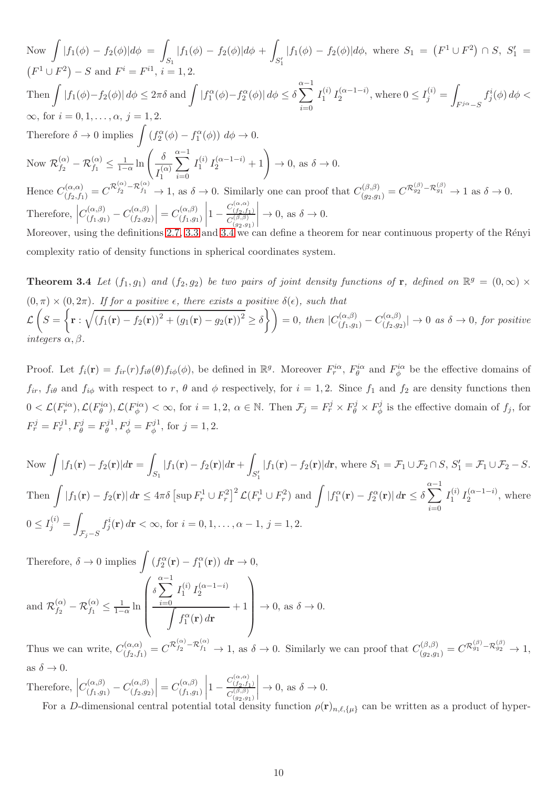Now 
$$
\int |f_1(\phi) - f_2(\phi)| d\phi = \int_{S_1} |f_1(\phi) - f_2(\phi)| d\phi + \int_{S'_1} |f_1(\phi) - f_2(\phi)| d\phi
$$
, where  $S_1 = (F^1 \cup F^2) \cap S$ ,  $S'_1 = (F^1 \cup F^2) - S$  and  $F^i = F^{i1}$ ,  $i = 1, 2$ .  
\nThen 
$$
\int |f_1(\phi) - f_2(\phi)| d\phi \leq 2\pi \delta
$$
 and 
$$
\int |f_1^{\alpha}(\phi) - f_2^{\alpha}(\phi)| d\phi \leq \delta \sum_{i=0}^{\alpha-1} I_1^{(i)} I_2^{(\alpha-1-i)}
$$
, where  $0 \leq I_j^{(i)} = \int_{F^{j\alpha}-S} f_j^{i}(\phi) d\phi < \infty$ , for  $i = 0, 1, ..., \alpha$ ,  $j = 1, 2$ .  
\nTherefore  $\delta \to 0$  implies 
$$
\int (f_2^{\alpha}(\phi) - f_1^{\alpha}(\phi)) d\phi \to 0
$$
.  
\nNow  $\mathcal{R}_{f_2}^{(\alpha)} - \mathcal{R}_{f_1}^{(\alpha)} \leq \frac{1}{1-\alpha} \ln \left( \frac{\delta}{I_1^{(\alpha)}} \sum_{i=0}^{\alpha-1} I_1^{(i)} I_2^{(\alpha-1-i)} + 1 \right) \to 0$ , as  $\delta \to 0$ .  
\nHence  $C_{(f_2, f_1)}^{(\alpha,\alpha)} = C^{\mathcal{R}_{f_2}^{(\alpha)} - \mathcal{R}_{f_1}^{(\alpha)}} \to 1$ , as  $\delta \to 0$ . Similarly one can proof that  $C_{(g_2, g_1)}^{(\beta,\beta)} = C^{\mathcal{R}_{g_2}^{(\beta)} - \mathcal{R}_{g_1}^{(\beta)}} \to 1$  as  $\delta \to 0$ .  
\nTherefore, 
$$
|C_{(f_1, g_1)}^{(\alpha,\beta)} - C_{(f_2, g_2)}^{(\alpha,\beta)}| = C_{(f_1, g_1)}^{(\alpha,\beta)} |1 - \frac{C_{(f_2, f_1)}^{(\alpha,\beta)}}{C_{(g_2, g_1)}^{(\beta,\
$$

<span id="page-9-0"></span>complexity ratio of density functions in spherical coordinates system.

**Theorem 3.4** Let  $(f_1, g_1)$  and  $(f_2, g_2)$  be two pairs of joint density functions of r, defined on  $\mathbb{R}^g = (0, \infty) \times$  $(0, \pi) \times (0, 2\pi)$ . If for a positive  $\epsilon$ , there exists a positive  $\delta(\epsilon)$ , such that L  $\sqrt{ }$  $S =$  $\sqrt{ }$  ${\bf r} : \sqrt{(f_1({\bf r})-f_2({\bf r}))^2+(g_1({\bf r})-g_2({\bf r}))^2} \geq \delta\bigg\} \bigg) = 0, \text{ then } |C_{(f_1,g_1)}^{(\alpha,\beta)}-C_{(f_2,g_2)}^{(\alpha,\beta)}|$  $\binom{(a,\beta)}{(f_2,g_2)} \rightarrow 0$  as  $\delta \rightarrow 0$ , for positive integers  $\alpha, \beta$ .

Proof. Let  $f_i(\mathbf{r}) = f_{ir}(r) f_{i\theta}(\theta) f_{i\phi}(\phi)$ , be defined in  $\mathbb{R}^g$ . Moreover  $F_i^{i\alpha}$ ,  $F_\theta^{i\alpha}$  and  $F_\phi^{i\alpha}$  be the effective domains of  $f_{ir}$ ,  $f_{i\theta}$  and  $f_{i\phi}$  with respect to r,  $\theta$  and  $\phi$  respectively, for  $i = 1, 2$ . Since  $f_1$  and  $f_2$  are density functions then  $0 < \mathcal{L}(F_r^{i\alpha}), \mathcal{L}(F_\theta^{i\alpha}), \mathcal{L}(F_\phi^{i\alpha}) < \infty$ , for  $i = 1, 2, \alpha \in \mathbb{N}$ . Then  $\mathcal{F}_j = F_r^j \times F_\theta^j \times F_\phi^j$  $\phi^j$  is the effective domain of  $f_j$ , for  $F_r^j = F_r^{j1}, F_\theta^j = F_\theta^{j1}$  $g_{\theta}^{j1}, F_{\phi}^{j} = F_{\phi}^{j1}$  $\phi^{j1}$ , for  $j = 1, 2$ .

Now 
$$
\int |f_1(\mathbf{r}) - f_2(\mathbf{r})| d\mathbf{r} = \int_{S_1} |f_1(\mathbf{r}) - f_2(\mathbf{r})| d\mathbf{r} + \int_{S'_1} |f_1(\mathbf{r}) - f_2(\mathbf{r})| d\mathbf{r}
$$
, where  $S_1 = \mathcal{F}_1 \cup \mathcal{F}_2 \cap S$ ,  $S'_1 = \mathcal{F}_1 \cup \mathcal{F}_2 - S$ .  
\nThen 
$$
\int |f_1(\mathbf{r}) - f_2(\mathbf{r})| d\mathbf{r} \le 4\pi \delta \left[ \sup F_r^1 \cup F_r^2 \right]^2 \mathcal{L}(F_r^1 \cup F_r^2)
$$
 and 
$$
\int |f_1^{\alpha}(\mathbf{r}) - f_2^{\alpha}(\mathbf{r})| d\mathbf{r} \le \delta \sum_{i=0}^{\alpha-1} I_1^{(i)} I_2^{(\alpha-1-i)},
$$
 where  $0 \le I_j^{(i)} = \int_{\mathcal{F}_j - S} f_j^i(\mathbf{r}) d\mathbf{r} < \infty$ , for  $i = 0, 1, ..., \alpha - 1$ ,  $j = 1, 2$ .

Therefore,  $\delta \to 0$  implies  $\int (f_2^{\alpha}(\mathbf{r}) - f_1^{\alpha}(\mathbf{r})) d\mathbf{r} \to 0$ , and  $\mathcal{R}^{(\alpha)}_{f_2}$  $\frac{(\alpha)}{f_2}-\mathcal{R}_{f_1}^{(\alpha)}\leq\frac{1}{1-1}$  $\frac{1}{1-\alpha}$  ln  $\sqrt{ }$  $\begin{pmatrix} \delta \sum_{i=0}^{\alpha-1} \end{pmatrix}$  $i=0$  $I_1^{(i)}$  $\int_1^{(i)} I_2^{(\alpha-1-i)}$ Z  $f_1^{\alpha}(\mathbf{r}) d\mathbf{r}$  $+1$  $\setminus$  $\begin{array}{c} \hline \end{array}$  $\rightarrow 0$ , as  $\delta \rightarrow 0$ .

Thus we can write,  $C_{(f_2,f_1)}^{(\alpha,\alpha)} = C^{\mathcal{R}_{f_2}^{(\alpha)}-\mathcal{R}_{f_1}^{(\alpha)}} \to 1$ , as  $\delta \to 0$ . Similarly we can proof that  $C_{(g_2,g_1)}^{(\beta,\beta)} = C^{\mathcal{R}_{g_1}^{(\beta)}-\mathcal{R}_{g_2}^{(\beta)}} \to 1$ , as  $\delta \to 0$ .

Therefore,  $\left| C_{(f_1,g_1)}^{(\alpha,\beta)} - C_{(f_2,g_2)}^{(\alpha,\beta)} \right|$  $(f_2,g_2)$  $\Big| = C_{(f_1, g_1)}^{(\alpha, \beta)}$  $(f_1,g_1)$  $\left|1-\frac{C_{\left(\beta,\beta\right)}^{\left(\alpha,\alpha\right)}}{C_{\left(g_2,g_1\right)}^{\left(\beta,\beta\right)}}\right|$  $C_{\left( g_{2},g_{1}\right) }^{\left( \beta ,\beta \right) }$  $\Big\vert \to 0$ , as  $\delta \to 0$ .

For a D-dimensional central potential total density function  $\rho(\mathbf{r})_{n,\ell,\{\mu\}}$  can be written as a product of hyper-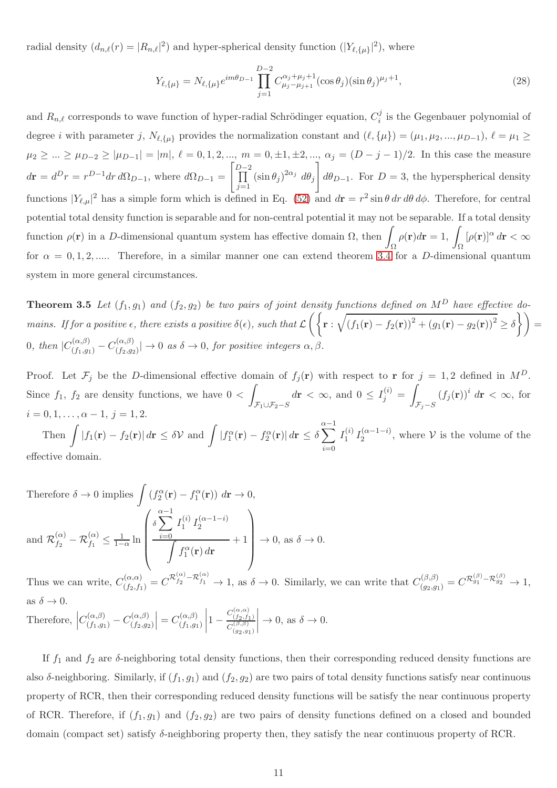radial density  $(d_{n,\ell}(r) = |R_{n,\ell}|^2)$  and hyper-spherical density function  $(|Y_{\ell,\{\mu\}}|^2)$ , where

$$
Y_{\ell,\{\mu\}} = N_{\ell,\{\mu\}} e^{im\theta_{D-1}} \prod_{j=1}^{D-2} C_{\mu_j - \mu_{j+1}}^{\alpha_j + \mu_j + 1} (\cos \theta_j) (\sin \theta_j)^{\mu_j + 1}, \tag{28}
$$

and  $R_{n,\ell}$  corresponds to wave function of hyper-radial Schrödinger equation,  $C_i^j$  $i$  is the Gegenbauer polynomial of degree *i* with parameter j,  $N_{\ell,\{\mu\}}$  provides the normalization constant and  $(\ell,\{\mu\}) = (\mu_1,\mu_2,...,\mu_{D-1}), \ell = \mu_1 \geq$  $\mu_2 \geq ... \geq \mu_{D-2} \geq |\mu_{D-1}| = |m|, \ell = 0, 1, 2, ..., m = 0, \pm 1, \pm 2, ..., \alpha_j = (D-j-1)/2.$  In this case the measure  $d\mathbf{r} = d^D r = r^{D-1} dr d\Omega_{D-1}$ , where  $d\Omega_{D-1} =$  $\int_{\Pi}^{D-2}$  $j=1$  $(\sin \theta_j)^{2\alpha_j} d\theta_j$  $\overline{\phantom{a}}$  $d\theta_{D-1}$ . For  $D=3$ , the hyperspherical density functions  $|Y_{\ell,\mu}|^2$  has a simple form which is defined in Eq. [\(52\)](#page-14-0) and  $d\mathbf{r} = r^2 \sin \theta \, dr \, d\theta \, d\phi$ . Therefore, for central potential total density function is separable and for non-central potential it may not be separable. If a total density function  $\rho(\mathbf{r})$  in a D-dimensional quantum system has effective domain  $\Omega$ , then Ω  $\rho(\mathbf{r})d\mathbf{r} = 1, \ \mathbf{r}$ Ω  $[\rho(\mathbf{r})]^{\alpha} d\mathbf{r} < \infty$ for  $\alpha = 0, 1, 2, \dots$ . Therefore, in a similar manner one can extend theorem [3.4](#page-9-0) for a D-dimensional quantum system in more general circumstances.

<span id="page-10-0"></span>**Theorem 3.5** Let  $(f_1, g_1)$  and  $(f_2, g_2)$  be two pairs of joint density functions defined on  $M^D$  have effective domains. If for a positive  $\epsilon$ , there exists a positive  $\delta(\epsilon)$ , such that  $\mathcal{L}\left(\left\{\mathbf{r}:\sqrt{\left(f_1(\mathbf{r})-f_2(\mathbf{r})\right)^2+\left(g_1(\mathbf{r})-g_2(\mathbf{r})\right)^2}\geq \delta\right\}\right)=$ 0, then  $|C_{(f_1,g_1)}^{(\alpha,\beta)} - C_{(f_2,g_2)}^{(\alpha,\beta)}|$  $\left|\frac{\partial f(x,\beta)}{\partial f(x,\beta g)}\right| \to 0$  as  $\delta \to 0$ , for positive integers  $\alpha, \beta$ .

Proof. Let  $\mathcal{F}_j$  be the D-dimensional effective domain of  $f_j(\mathbf{r})$  with respect to r for  $j = 1, 2$  defined in  $M^D$ . Since  $f_1$ ,  $f_2$  are density functions, we have  $0 <$ Z  $F_1 \cup F_2-S$  $d\mathbf{r} < \infty$ , and  $0 \leq I_j^{(i)} =$ Z  $\mathcal{F}_j-S$  $(f_j(\mathbf{r}))^i$   $d\mathbf{r} < \infty$ , for  $i = 0, 1, \ldots, \alpha - 1, j = 1, 2.$ Then  $\int |f_1(\mathbf{r}) - f_2(\mathbf{r})| d\mathbf{r} \leq \delta \mathcal{V}$  and  $\int |f_1^{\alpha}(\mathbf{r}) - f_2^{\alpha}(\mathbf{r})| d\mathbf{r} \leq \delta \sum_{\alpha=1}^{\infty}$ 

 $i=0$  $I_1^{(i)}$  $\binom{i}{1} I_2^{(\alpha-1-i)}$ , where  $\mathcal V$  is the volume of the effective domain.

Therefore 
$$
\delta \to 0
$$
 implies  $\int (f_2^{\alpha}(\mathbf{r}) - f_1^{\alpha}(\mathbf{r})) d\mathbf{r} \to 0$ ,  
and  $\mathcal{R}_{f_2}^{(\alpha)} - \mathcal{R}_{f_1}^{(\alpha)} \le \frac{1}{1-\alpha} \ln \left( \frac{\delta \sum_{i=0}^{\alpha-1} I_1^{(i)} I_2^{(\alpha-1-i)}}{\int f_1^{\alpha}(\mathbf{r}) d\mathbf{r}} + 1 \right) \to 0$ , as  $\delta \to 0$ .

Thus we can write,  $C_{(f_2,f_1)}^{(\alpha,\alpha)} = C^{\mathcal{R}_{f_2}^{(\alpha)}-\mathcal{R}_{f_1}^{(\alpha)}} \to 1$ , as  $\delta \to 0$ . Similarly, we can write that  $C_{(g_2,g_1)}^{(\beta,\beta)} = C^{\mathcal{R}_{g_1}^{(\beta)}-\mathcal{R}_{g_2}^{(\beta)}} \to 1$ , as  $\delta \to 0$ .

Therefore,  $\left| C_{(f_1,g_1)}^{(\alpha,\beta)} - C_{(f_2,g_2)}^{(\alpha,\beta)} \right|$  $(f_2,g_2)$  $\Big| = C_{(f_1, g_1)}^{(\alpha, \beta)}$  $(f_1,g_1)$  $\left|1-\frac{C_{\left(\begin{smallmatrix} \alpha & \alpha \\ f_2 & f_1 \end{smallmatrix}\right)}^{(\alpha,\alpha)}}{C_{\left(g_2, g_1\right)}^{(\beta,\beta)}}\right|$  $C_{\left( g_{2},g_{1}\right) }^{\left( \beta ,\beta \right) }$  $\Big\vert \to 0$ , as  $\delta \to 0$ .

If  $f_1$  and  $f_2$  are  $\delta$ -neighboring total density functions, then their corresponding reduced density functions are also  $\delta$ -neighboring. Similarly, if  $(f_1, g_1)$  and  $(f_2, g_2)$  are two pairs of total density functions satisfy near continuous property of RCR, then their corresponding reduced density functions will be satisfy the near continuous property of RCR. Therefore, if  $(f_1, g_1)$  and  $(f_2, g_2)$  are two pairs of density functions defined on a closed and bounded domain (compact set) satisfy δ-neighboring property then, they satisfy the near continuous property of RCR.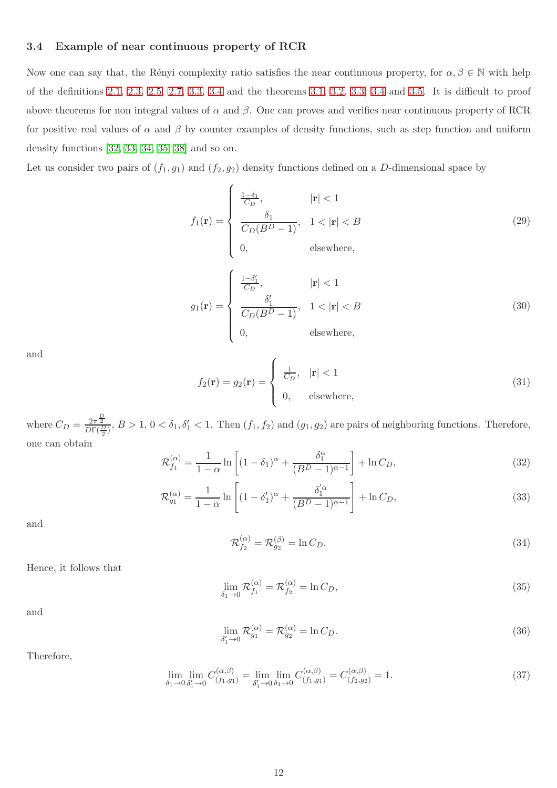#### 3.4 Example of near continuous property of RCR

Now one can say that, the Rényi complexity ratio satisfies the near continuous property, for  $\alpha, \beta \in \mathbb{N}$  with help of the definitions [2.1,](#page-2-2) [2.3,](#page-2-3) [2.5,](#page-3-1) [2.7,](#page-3-2) [3.3,](#page-7-1) [3.4](#page-7-2) and the theorems [3.1,](#page-7-3) [3.2,](#page-8-0) [3.3,](#page-8-1) [3.4](#page-9-0) and [3.5.](#page-10-0) It is difficult to proof above theorems for non integral values of  $\alpha$  and  $\beta$ . One can proves and verifies near continuous property of RCR for positive real values of  $\alpha$  and  $\beta$  by counter examples of density functions, such as step function and uniform density functions [\[32,](#page-27-2) [33,](#page-27-3) [34,](#page-27-4) [35,](#page-27-5) [38\]](#page-27-8) and so on.

Let us consider two pairs of  $(f_1, g_1)$  and  $(f_2, g_2)$  density functions defined on a D-dimensional space by

$$
f_1(\mathbf{r}) = \begin{cases} \frac{1-\delta_1}{C_D}, & |\mathbf{r}| < 1\\ \frac{\delta_1}{C_D(B^D - 1)}, & 1 < |\mathbf{r}| < B\\ 0, & \text{elsewhere,} \end{cases}
$$
(29)

$$
g_1(\mathbf{r}) = \begin{cases} \frac{1-\delta_1'}{C_D}, & |\mathbf{r}| < 1\\ \frac{\delta_1'}{C_D(B^D - 1)}, & 1 < |\mathbf{r}| < B\\ 0, & \text{elsewhere,} \end{cases}
$$
(30)

and

$$
f_2(\mathbf{r}) = g_2(\mathbf{r}) = \begin{cases} \frac{1}{C_D}, & |\mathbf{r}| < 1\\ 0, & \text{elsewhere,} \end{cases}
$$
 (31)

where  $C_D = \frac{2\pi \frac{D}{2}}{D\Gamma(\frac{D}{2})}$ ,  $B > 1$ ,  $0 < \delta_1$ ,  $\delta'_1 < 1$ . Then  $(f_1, f_2)$  and  $(g_1, g_2)$  are pairs of neighboring functions. Therefore, one can obtain

$$
\mathcal{R}_{f_1}^{(\alpha)} = \frac{1}{1-\alpha} \ln \left[ (1-\delta_1)^{\alpha} + \frac{\delta_1^{\alpha}}{(B^D - 1)^{\alpha - 1}} \right] + \ln C_D,
$$
\n(32)

$$
\mathcal{R}_{g_1}^{(\alpha)} = \frac{1}{1-\alpha} \ln \left[ (1-\delta_1')^{\alpha} + \frac{\delta_1'^{\alpha}}{(B^D-1)^{\alpha-1}} \right] + \ln C_D,
$$
\n(33)

and

$$
\mathcal{R}_{f_2}^{(\alpha)} = \mathcal{R}_{g_2}^{(\beta)} = \ln C_D. \tag{34}
$$

Hence, it follows that

$$
\lim_{\delta_1 \to 0} \mathcal{R}_{f_1}^{(\alpha)} = \mathcal{R}_{f_2}^{(\alpha)} = \ln C_D,
$$
\n(35)

and

$$
\lim_{\delta_1' \to 0} \mathcal{R}_{g_1}^{(\alpha)} = \mathcal{R}_{g_2}^{(\alpha)} = \ln C_D. \tag{36}
$$

Therefore,

$$
\lim_{\delta_1 \to 0} \lim_{\delta'_1 \to 0} C^{(\alpha,\beta)}_{(f_1,g_1)} = \lim_{\delta'_1 \to 0} \lim_{\delta_1 \to 0} C^{(\alpha,\beta)}_{(f_1,g_1)} = C^{(\alpha,\beta)}_{(f_2,g_2)} = 1. \tag{37}
$$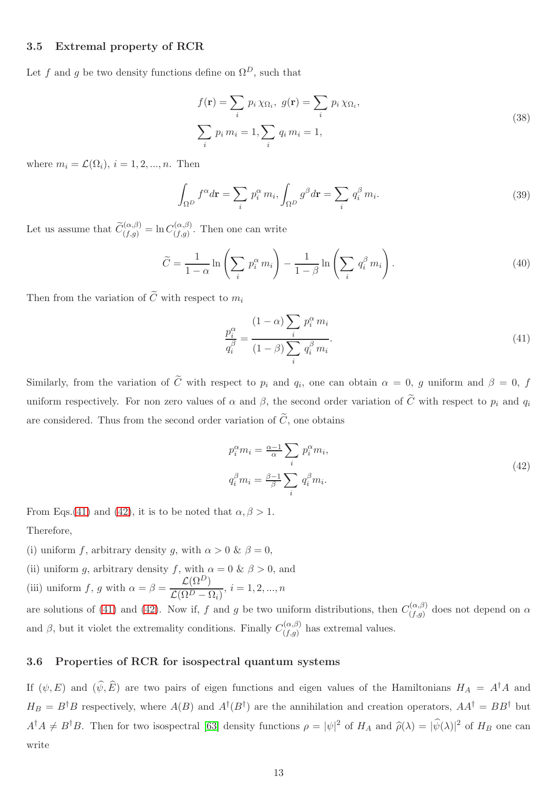#### 3.5 Extremal property of RCR

Let f and g be two density functions define on  $\Omega^D$ , such that

$$
f(\mathbf{r}) = \sum_{i} p_i \chi_{\Omega_i}, \ g(\mathbf{r}) = \sum_{i} p_i \chi_{\Omega_i},
$$
  

$$
\sum_{i} p_i m_i = 1, \sum_{i} q_i m_i = 1,
$$
 (38)

where  $m_i = \mathcal{L}(\Omega_i)$ ,  $i = 1, 2, ..., n$ . Then

$$
\int_{\Omega^D} f^{\alpha} d\mathbf{r} = \sum_i p_i^{\alpha} m_i, \int_{\Omega^D} g^{\beta} d\mathbf{r} = \sum_i q_i^{\beta} m_i.
$$
\n(39)

Let us assume that  $\widetilde{C}_{(f,g)}^{(\alpha,\beta)} = \ln C_{(f,g)}^{(\alpha,\beta)}$  $(f,g)$ . Then one can write

$$
\widetilde{C} = \frac{1}{1 - \alpha} \ln \left( \sum_{i} p_i^{\alpha} m_i \right) - \frac{1}{1 - \beta} \ln \left( \sum_{i} q_i^{\beta} m_i \right). \tag{40}
$$

Then from the variation of  $\tilde{C}$  with respect to  $m_i$ 

<span id="page-12-0"></span>
$$
\frac{p_i^{\alpha}}{q_i^{\beta}} = \frac{(1-\alpha)\sum_i p_i^{\alpha} m_i}{(1-\beta)\sum_i q_i^{\beta} m_i}.
$$
\n(41)

Similarly, from the variation of C with respect to  $p_i$  and  $q_i$ , one can obtain  $\alpha = 0$ , g uniform and  $\beta = 0$ , f uniform respectively. For non zero values of  $\alpha$  and  $\beta$ , the second order variation of  $\tilde{C}$  with respect to  $p_i$  and  $q_i$ are considered. Thus from the second order variation of  $\tilde{C}$ , one obtains

<span id="page-12-1"></span>
$$
p_i^{\alpha} m_i = \frac{\alpha - 1}{\alpha} \sum_i p_i^{\alpha} m_i,
$$
  
\n
$$
q_i^{\beta} m_i = \frac{\beta - 1}{\beta} \sum_i q_i^{\beta} m_i.
$$
\n(42)

From Eqs.[\(41\)](#page-12-0) and [\(42\)](#page-12-1), it is to be noted that  $\alpha, \beta > 1$ . Therefore,

- (i) uniform f, arbitrary density q, with  $\alpha > 0$  &  $\beta = 0$ ,
- (ii) uniform g, arbitrary density f, with  $\alpha = 0 \& \beta > 0$ , and (iii) uniform f, g with  $\alpha = \beta = \frac{\mathcal{L}(\Omega^D)}{\mathcal{L}(\Omega^D)}$  $\frac{\mathcal{L}(1)}{\mathcal{L}(\Omega^D - \Omega_i)}, i = 1, 2, ..., n$

are solutions of [\(41\)](#page-12-0) and [\(42\)](#page-12-1). Now if, f and g be two uniform distributions, then  $C_{(f, \alpha)}^{(\alpha, \beta)}$  $\alpha^{(\alpha,\beta)}_{(f,g)}$  does not depend on  $\alpha$ and  $\beta$ , but it violet the extremality conditions. Finally  $C_{(f,q)}^{(\alpha,\beta)}$  $(f,g)$  has extremal values.

### 3.6 Properties of RCR for isospectral quantum systems

If  $(\psi, E)$  and  $(\widehat{\psi}, \widehat{E})$  are two pairs of eigen functions and eigen values of the Hamiltonians  $H_A = A^{\dagger}A$  and  $H_B = B^{\dagger}B$  respectively, where  $A(B)$  and  $A^{\dagger}(B^{\dagger})$  are the annihilation and creation operators,  $AA^{\dagger} = BB^{\dagger}$  but  $A^{\dagger}A \neq B^{\dagger}B$ . Then for two isospectral [\[63\]](#page-28-8) density functions  $\rho = |\psi|^2$  of  $H_A$  and  $\hat{\rho}(\lambda) = |\hat{\psi}(\lambda)|^2$  of  $H_B$  one can write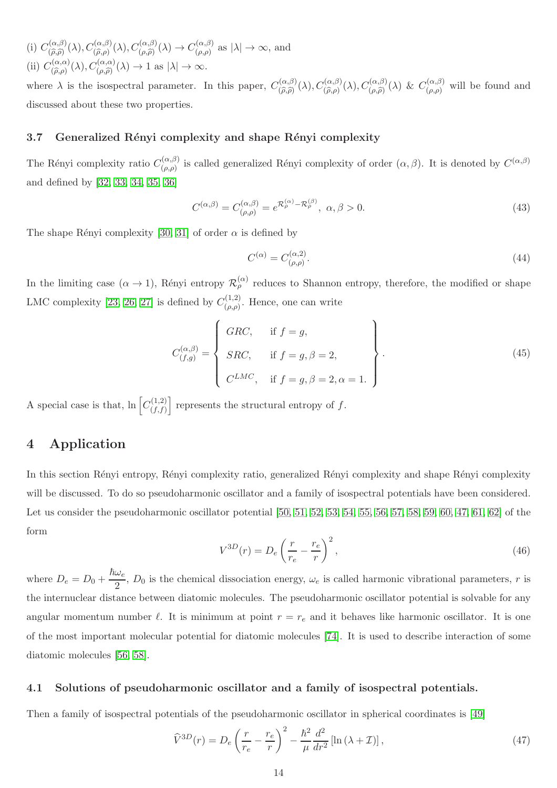(i)  $C^{(\alpha,\beta)}_{(\widehat{\alpha},\widehat{\alpha})}$  $C^{(\alpha,\beta)}_{(\widehat{\rho},\widehat{\rho})}(\lambda), C^{(\alpha,\beta)}_{(\widehat{\rho},\rho)}(\lambda), C^{(\alpha,\beta)}_{(\rho,\widehat{\rho})}(\lambda) \rightarrow C^{(\alpha,\beta)}_{(\rho,\rho)}$  $(\alpha,\beta)$  as  $|\lambda| \to \infty$ , and (ii)  $C^{(\alpha,\alpha)}_{(\widehat{\alpha},\alpha)}$  $C_{(\widehat{\rho},\rho)}^{(\alpha,\alpha)}(\lambda), C_{(\rho,\widehat{\rho})}^{(\alpha,\alpha)}(\lambda) \to 1 \text{ as } |\lambda| \to \infty.$ 

where  $\lambda$  is the isospectral parameter. In this paper,  $C_{\widehat{\alpha}}^{(\alpha,\beta)}$  $C_{(\widehat{\rho}, \widehat{\rho})}^{(\alpha,\beta)}(\lambda), C_{(\widehat{\rho}, \rho)}^{(\alpha,\beta)}(\lambda), C_{(\rho, \widehat{\rho})}^{(\alpha,\beta)}(\lambda) \& C_{(\rho,\rho)}^{(\alpha,\beta)}$  $(\alpha,\beta)$  will be found and discussed about these two properties.

### 3.7 Generalized Rényi complexity and shape Rényi complexity

The Rényi complexity ratio  $C_{(a, a)}^{(\alpha, \beta)}$  $(\alpha, \beta)$  is called generalized Rényi complexity of order  $(\alpha, \beta)$ . It is denoted by  $C^{(\alpha, \beta)}$ and defined by [\[32,](#page-27-2) [33,](#page-27-3) [34,](#page-27-4) [35,](#page-27-5) [36\]](#page-27-6)

$$
C^{(\alpha,\beta)} = C^{(\alpha,\beta)}_{(\rho,\rho)} = e^{\mathcal{R}^{(\alpha)}_{\rho} - \mathcal{R}^{(\beta)}_{\rho}}, \ \alpha,\beta > 0. \tag{43}
$$

The shape Rényi complexity [\[30,](#page-27-0) [31\]](#page-27-1) of order  $\alpha$  is defined by

$$
C^{(\alpha)} = C^{(\alpha,2)}_{(\rho,\rho)}.\tag{44}
$$

In the limiting case  $(\alpha \to 1)$ , Rényi entropy  $\mathcal{R}_{\rho}^{(\alpha)}$  reduces to Shannon entropy, therefore, the modified or shape LMC complexity [\[23,](#page-26-4) [26,](#page-26-7) [27\]](#page-26-8) is defined by  $C_{(q,q)}^{(1,2)}$  $\binom{(1,2)}{(\rho,\rho)}$ . Hence, one can write

$$
C_{(f,g)}^{(\alpha,\beta)} = \begin{cases} GRC, & \text{if } f = g, \\ SRC, & \text{if } f = g, \beta = 2, \\ C^{LMC}, & \text{if } f = g, \beta = 2, \alpha = 1. \end{cases}
$$
 (45)

<span id="page-13-0"></span>A special case is that,  $\ln \left[ C_{(f,f)}^{(1,2)} \right]$  $(f,f)$ represents the structural entropy of  $f$ .

## 4 Application

In this section Rényi entropy, Rényi complexity ratio, generalized Rényi complexity and shape Rényi complexity will be discussed. To do so pseudoharmonic oscillator and a family of isospectral potentials have been considered. Let us consider the pseudoharmonic oscillator potential  $[50, 51, 52, 53, 54, 55, 56, 57, 58, 59, 60, 47, 61, 62]$  $[50, 51, 52, 53, 54, 55, 56, 57, 58, 59, 60, 47, 61, 62]$  $[50, 51, 52, 53, 54, 55, 56, 57, 58, 59, 60, 47, 61, 62]$  $[50, 51, 52, 53, 54, 55, 56, 57, 58, 59, 60, 47, 61, 62]$  $[50, 51, 52, 53, 54, 55, 56, 57, 58, 59, 60, 47, 61, 62]$  $[50, 51, 52, 53, 54, 55, 56, 57, 58, 59, 60, 47, 61, 62]$  $[50, 51, 52, 53, 54, 55, 56, 57, 58, 59, 60, 47, 61, 62]$  $[50, 51, 52, 53, 54, 55, 56, 57, 58, 59, 60, 47, 61, 62]$  $[50, 51, 52, 53, 54, 55, 56, 57, 58, 59, 60, 47, 61, 62]$  $[50, 51, 52, 53, 54, 55, 56, 57, 58, 59, 60, 47, 61, 62]$  $[50, 51, 52, 53, 54, 55, 56, 57, 58, 59, 60, 47, 61, 62]$  $[50, 51, 52, 53, 54, 55, 56, 57, 58, 59, 60, 47, 61, 62]$  $[50, 51, 52, 53, 54, 55, 56, 57, 58, 59, 60, 47, 61, 62]$  $[50, 51, 52, 53, 54, 55, 56, 57, 58, 59, 60, 47, 61, 62]$  of the form

<span id="page-13-1"></span>
$$
V^{3D}(r) = D_e \left(\frac{r}{r_e} - \frac{r_e}{r}\right)^2,\tag{46}
$$

where  $D_e = D_0 + \frac{\hbar \omega_e}{2}$  $\frac{\partial^2 E}{\partial x^2}$ ,  $D_0$  is the chemical dissociation energy,  $\omega_e$  is called harmonic vibrational parameters, r is the internuclear distance between diatomic molecules. The pseudoharmonic oscillator potential is solvable for any angular momentum number  $\ell$ . It is minimum at point  $r = r_e$  and it behaves like harmonic oscillator. It is one of the most important molecular potential for diatomic molecules [\[74\]](#page-28-19). It is used to describe interaction of some diatomic molecules [\[56,](#page-28-1) [58\]](#page-28-3).

#### 4.1 Solutions of pseudoharmonic oscillator and a family of isospectral potentials.

Then a family of isospectral potentials of the pseudoharmonic oscillator in spherical coordinates is [\[49\]](#page-27-19)

<span id="page-13-2"></span>
$$
\widehat{V}^{3D}(r) = D_e \left(\frac{r}{r_e} - \frac{r_e}{r}\right)^2 - \frac{\hbar^2}{\mu} \frac{d^2}{dr^2} \left[\ln\left(\lambda + \mathcal{I}\right)\right],\tag{47}
$$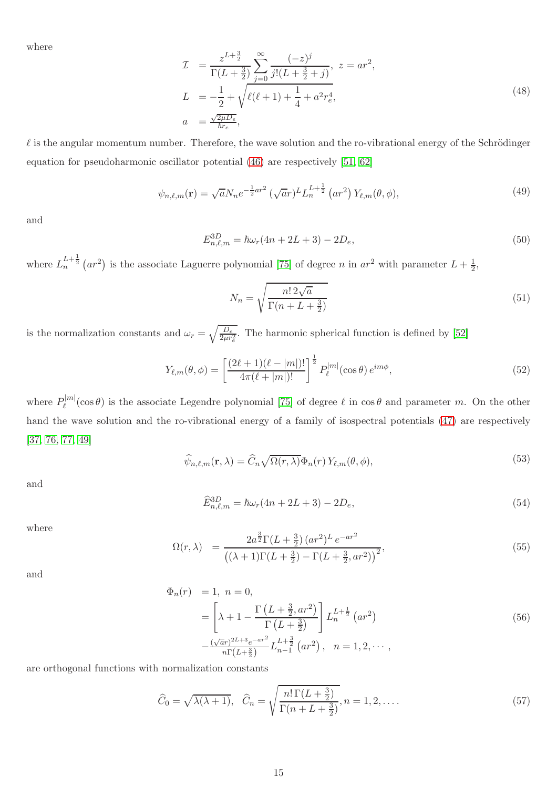where

$$
\mathcal{I} = \frac{z^{L+\frac{3}{2}}}{\Gamma(L+\frac{3}{2})} \sum_{j=0}^{\infty} \frac{(-z)^j}{j!(L+\frac{3}{2}+j)}, \ z = ar^2,
$$
\n
$$
L = -\frac{1}{2} + \sqrt{\ell(\ell+1) + \frac{1}{4} + a^2 r_e^4},
$$
\n
$$
a = \frac{\sqrt{2\mu D_e}}{\hbar r_e},
$$
\n(48)

 $\ell$  is the angular momentum number. Therefore, the wave solution and the ro-vibrational energy of the Schrödinger equation for pseudoharmonic oscillator potential [\(46\)](#page-13-1) are respectively [\[51,](#page-27-21) [62\]](#page-28-7)

<span id="page-14-1"></span>
$$
\psi_{n,\ell,m}(\mathbf{r}) = \sqrt{a} N_n e^{-\frac{1}{2}ar^2} \left(\sqrt{a}r\right)^L L_n^{L+\frac{1}{2}} \left(ar^2\right) Y_{\ell,m}(\theta,\phi),\tag{49}
$$

and

$$
E_{n,\ell,m}^{3D} = \hbar\omega_r(4n + 2L + 3) - 2D_e,
$$
\n(50)

where  $L_n^{L+\frac{1}{2}}(ar^2)$  is the associate Laguerre polynomial [\[75\]](#page-28-20) of degree n in  $ar^2$  with parameter  $L+\frac{1}{2}$  $\frac{1}{2}$ ,

$$
N_n = \sqrt{\frac{n! 2\sqrt{a}}{\Gamma(n+L+\frac{3}{2})}}
$$
\n(51)

is the normalization constants and  $\omega_r = \sqrt{\frac{D_e}{2\mu r}}$  $\frac{D_e}{2\mu r_e^2}$ . The harmonic spherical function is defined by [\[52\]](#page-27-22)

<span id="page-14-0"></span>
$$
Y_{\ell,m}(\theta,\phi) = \left[\frac{(2\ell+1)(\ell-|m|)!}{4\pi(\ell+|m|)!}\right]^{\frac{1}{2}} P_{\ell}^{|m|}(\cos\theta) e^{im\phi},\tag{52}
$$

where  $P_{\ell}^{[m]}(\cos\theta)$  is the associate Legendre polynomial [\[75\]](#page-28-20) of degree  $\ell$  in  $\cos\theta$  and parameter m. On the other hand the wave solution and the ro-vibrational energy of a family of isospectral potentials [\(47\)](#page-13-2) are respectively [\[37,](#page-27-7) [76,](#page-28-21) [77,](#page-28-22) [49\]](#page-27-19)

<span id="page-14-2"></span>
$$
\widehat{\psi}_{n,\ell,m}(\mathbf{r},\lambda) = \widehat{C}_n \sqrt{\Omega(r,\lambda)} \Phi_n(r) \, Y_{\ell,m}(\theta,\phi),\tag{53}
$$

and

$$
\widehat{E}_{n,\ell,m}^{3D} = \hbar\omega_r(4n + 2L + 3) - 2D_e,
$$
\n(54)

where

$$
\Omega(r,\lambda) = \frac{2a^{\frac{3}{2}}\Gamma(L+\frac{3}{2}) (ar^2)^L e^{-ar^2}}{(\lambda+1)\Gamma(L+\frac{3}{2}) - \Gamma(L+\frac{3}{2},ar^2))^2},
$$
\n(55)

and

$$
\begin{aligned}\n\Phi_n(r) &= 1, \ n = 0, \\
&= \left[ \lambda + 1 - \frac{\Gamma\left(L + \frac{3}{2}, ar^2\right)}{\Gamma\left(L + \frac{3}{2}\right)} \right] L_n^{L + \frac{1}{2}} \left(ar^2\right) \\
&- \frac{\left(\sqrt{a}r\right)^{2L + 3} e^{-ar^2}}{n\Gamma\left(L + \frac{3}{2}\right)} L_{n-1}^{L + \frac{3}{2}} \left(ar^2\right), \ n = 1, 2, \cdots,\n\end{aligned}\n\tag{56}
$$

are orthogonal functions with normalization constants

$$
\widehat{C}_0 = \sqrt{\lambda(\lambda+1)}, \quad \widehat{C}_n = \sqrt{\frac{n!\,\Gamma(L+\frac{3}{2})}{\Gamma(n+L+\frac{3}{2})}}, n = 1, 2, \dots \tag{57}
$$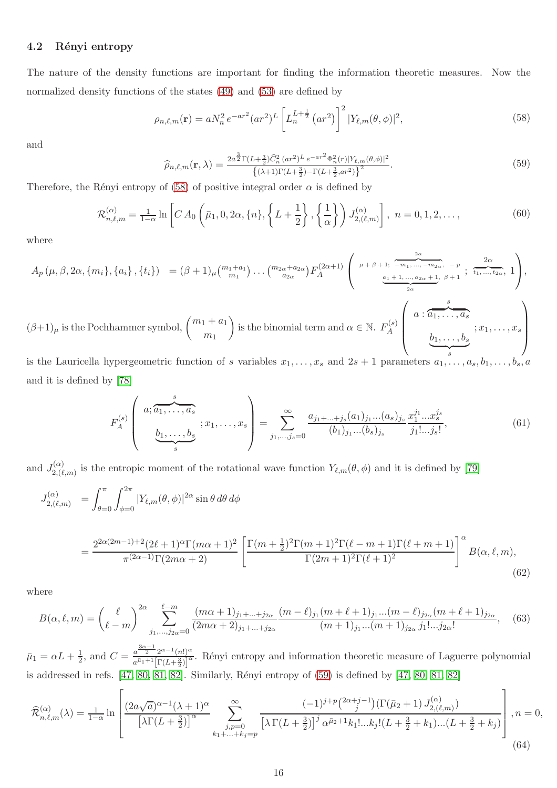#### 4.2 Rényi entropy

The nature of the density functions are important for finding the information theoretic measures. Now the normalized density functions of the states  $(49)$  and  $(53)$  are defined by

<span id="page-15-0"></span>
$$
\rho_{n,\ell,m}(\mathbf{r}) = a N_n^2 e^{-ar^2} (ar^2)^L \left[ L_n^{L+\frac{1}{2}} (ar^2) \right]^2 |Y_{\ell,m}(\theta,\phi)|^2, \tag{58}
$$

and

<span id="page-15-1"></span>
$$
\widehat{\rho}_{n,\ell,m}(\mathbf{r},\lambda) = \frac{2a^{\frac{3}{2}}\Gamma(L+\frac{3}{2})\widehat{C}_n^2 (ar^2)^L e^{-ar^2} \Phi_n^2(r)|Y_{\ell,m}(\theta,\phi)|^2}{\left\{(\lambda+1)\Gamma(L+\frac{3}{2}) - \Gamma(L+\frac{3}{2},ar^2)\right\}^2}.
$$
\n(59)

Therefore, the Rényi entropy of [\(58\)](#page-15-0) of positive integral order  $\alpha$  is defined by

$$
\mathcal{R}_{n,\ell,m}^{(\alpha)} = \frac{1}{1-\alpha} \ln \left[ C A_0 \left( \bar{\mu}_1, 0, 2\alpha, \{n\}, \left\{ L + \frac{1}{2} \right\}, \left\{ \frac{1}{\alpha} \right\} \right) J_{2,(\ell,m)}^{(\alpha)} \right], \ n = 0, 1, 2, \dots,
$$
\n(60)

where

$$
A_p(\mu, \beta, 2\alpha, \{m_i\}, \{a_i\}, \{t_i\}) = (\beta + 1)\mu {m_1 + a_1 \choose m_1} \dots {m_{2\alpha} + a_{2\alpha} \choose a_{2\alpha}} F_A^{(2\alpha+1)} \left( \begin{array}{c} \mu + \beta + 1; \overbrace{-m_1, \dots, -m_{2\alpha}, -p \choose a_1 + 1, \dots, a_{2\alpha} + 1, \beta + 1} \\ \frac{a_1 + 1, \dots, a_{2\alpha} + 1, \beta + 1}{2\alpha}; \overbrace{\iota_1, \dots, \iota_{2\alpha}, \iota_1}^{2\alpha} \end{array} \right),
$$
  

$$
(\beta + 1)\mu
$$
 is the Pochhammer symbol, 
$$
{m_1 + a_1 \choose m_1}
$$
 is the binomial term and  $\alpha \in \mathbb{N}$ .  $F_A^{(s)} \left( \begin{array}{c} a; \overbrace{a_1, \dots, a_s}^{s} \\ \overbrace{b_1, \dots, b_s}^{s} \\ \overbrace{s}^{i_1, \dots, i_s} \end{array} ; x_1, \dots, x_s \right)$ 

is the Lauricella hypergeometric function of s variables  $x_1, \ldots, x_s$  and  $2s + 1$  parameters  $a_1, \ldots, a_s, b_1, \ldots, b_s, a_s$ and it is defined by [\[78\]](#page-29-0)

$$
F_A^{(s)}\left(\begin{array}{c} a; \overbrace{a_1,\ldots,a_s}^s\\ \underbrace{b_1,\ldots,b_s}_{s} \end{array}; x_1,\ldots,x_s\right) = \sum_{j_1,\ldots,j_s=0}^{\infty} \frac{a_{j_1+\ldots+j_s}(a_1)_{j_1}\ldots(a_s)_{j_s}}{(b_1)_{j_1}\ldots(b_s)_{j_s}} \frac{x_1^{j_1}\ldots x_s^{j_s}}{j_1!\ldots j_s!},\tag{61}
$$

and  $J_{2\ell}^{(\alpha)}$  $2(\alpha)}_{2,(\ell,m)}$  is the entropic moment of the rotational wave function  $Y_{\ell,m}(\theta,\phi)$  and it is defined by [\[79\]](#page-29-1)

$$
J_{2,(\ell,m)}^{(\alpha)} = \int_{\theta=0}^{\pi} \int_{\phi=0}^{2\pi} |Y_{\ell,m}(\theta,\phi)|^{2\alpha} \sin\theta \,d\theta \,d\phi
$$

$$
=\frac{2^{2\alpha(2m-1)+2}(2\ell+1)^{\alpha}\Gamma(m\alpha+1)^{2}}{\pi^{(2\alpha-1)}\Gamma(2m\alpha+2)}\left[\frac{\Gamma(m+\frac{1}{2})^{2}\Gamma(m+1)^{2}\Gamma(\ell-m+1)\Gamma(\ell+m+1)}{\Gamma(2m+1)^{2}\Gamma(\ell+1)^{2}}\right]^{\alpha}B(\alpha,\ell,m),\tag{62}
$$

where

$$
B(\alpha, \ell, m) = {\ell \choose \ell-m}^{2\alpha} \sum_{j_1, \dots, j_{2\alpha}=0}^{\ell-m} \frac{(m\alpha+1)_{j_1+\dots+j_{2\alpha}}}{(2m\alpha+2)_{j_1+\dots+j_{2\alpha}}} \frac{(m-\ell)_{j_1}(m+\ell+1)_{j_1}\dots(m-\ell)_{j_{2\alpha}}(m+\ell+1)_{j_{2\alpha}}}{(m+1)_{j_1}\dots(m+1)_{j_{2\alpha}}j_1!\dots j_{2\alpha}!},
$$
 (63)

 $\bar{\mu}_1 = \alpha L + \frac{1}{2}$  $\frac{1}{2}$ , and  $C = \frac{a^{\frac{3\alpha-1}{2}} 2^{\alpha-1} (n!)^{\alpha}}{a^{\bar{\mu}_1+1} [\Gamma(L+\frac{3}{2})]^{\alpha}}$  $\frac{a}{a^{\bar{\mu}_1+1}[\Gamma(L+\frac{3}{2})]^{\alpha}}$ . Rényi entropy and information theoretic measure of Laguerre polynomial is addressed in refs.  $[47, 80, 81, 82]$  $[47, 80, 81, 82]$  $[47, 80, 81, 82]$  $[47, 80, 81, 82]$ . Similarly, Rényi entropy of  $(59)$  is defined by  $[47, 80, 81, 82]$ 

$$
\widehat{\mathcal{R}}_{n,\ell,m}^{(\alpha)}(\lambda) = \frac{1}{1-\alpha} \ln \left[ \frac{(2a\sqrt{a})^{\alpha-1}(\lambda+1)^{\alpha}}{\left[\lambda \Gamma(L+\frac{3}{2})\right]^{\alpha}} \sum_{\substack{j,p=0 \ k_1+\ldots+k_j=p}}^{\infty} \frac{(-1)^{j+p} \binom{2\alpha+j-1}{j} \left(\Gamma(\bar{\mu}_2+1) J_{2,(\ell,m)}^{(\alpha)}\right)}{\left[\lambda \Gamma(L+\frac{3}{2})\right]^j \alpha^{\bar{\mu}_2+1} k_1! \ldots k_j! (L+\frac{3}{2}+k_1) \ldots (L+\frac{3}{2}+k_j)} \right], n=0,
$$
\n(64)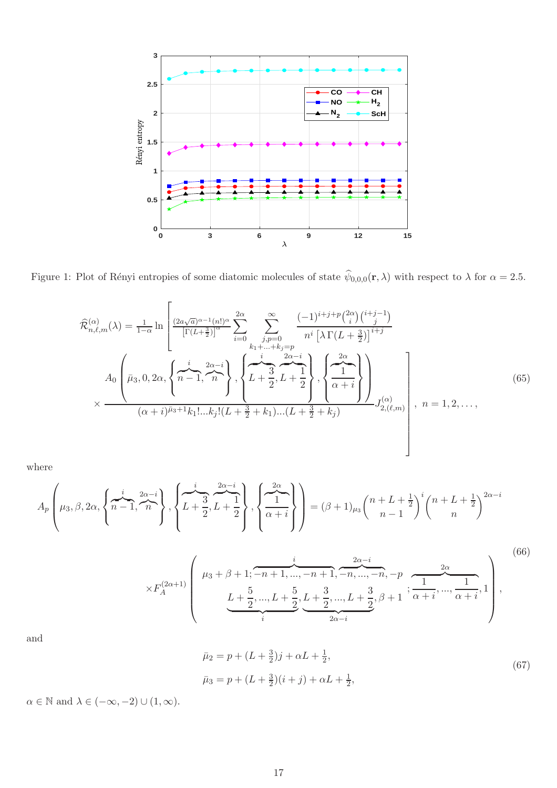

Figure 1: Plot of Rényi entropies of some diatomic molecules of state  $\psi_{0,0,0}(\mathbf{r},\lambda)$  with respect to  $\lambda$  for  $\alpha = 2.5$ .

<span id="page-16-0"></span>
$$
\hat{\mathcal{R}}_{n,\ell,m}^{(\alpha)}(\lambda) = \frac{1}{1-\alpha} \ln \left[ \frac{(2a\sqrt{a})^{\alpha-1}(n!)^{\alpha}}{\left[\Gamma(L+\frac{3}{2})\right]^{\alpha}} \sum_{i=0}^{2\alpha} \sum_{\substack{j,p=0 \ j,p \neq 0}}^{\infty} \frac{(-1)^{i+j+p} {2\alpha \choose i} {i+j-1 \choose j}}{n^{i} \left[\lambda \Gamma(L+\frac{3}{2})\right]^{i+j}}
$$
\n
$$
A_0 \left(\bar{\mu}_3, 0, 2\alpha, \left\{\overbrace{n-1}^{i} , \overbrace{n-1}^{2\alpha-i} , \overbrace{n}^{2\alpha-i} \right\}, \left\{\overbrace{L+\frac{3}{2}, L+\frac{1}{2}}^{i} , \left\{\overbrace{\frac{1}{\alpha} \atop \alpha+i} \right\}^{2\alpha} \right\}\right)_{\substack{j,\alpha \neq i}} J_{2,(\ell,m)}^{(\alpha)}, n = 1, 2, \dots, \tag{65}
$$

where

$$
A_p\left(\mu_3,\beta,2\alpha,\left\{\overbrace{n-1}^{i},\overbrace{n}^{2\alpha-i}\right\},\left\{\overbrace{L+\frac{3}{2}^{i}},\overbrace{L+\frac{1}{2}^{i}}^{2\alpha-i}\right\},\left\{\overbrace{\frac{1}{\alpha+i}}^{2\alpha}\right\}\right) = (\beta+1)\mu_3\left(\frac{n+L+\frac{1}{2}}{n-1}\right)^{i}\left(\frac{n+L+\frac{1}{2}}{n}\right)^{2\alpha-i}
$$

$$
\times F_A^{(2\alpha+1)}\left(\begin{array}{c} \mu_3+\beta+1;\overbrace{-n+1,\ldots,-n+1}^{i},\overbrace{-n,\ldots,-n}^{2\alpha-i},-p,\overbrace{-1,\ldots,-1}^{2\alpha},\\ \underbrace{L+\frac{5}{2},\ldots,L+\frac{5}{2}}_{i},\underline{L+\frac{3}{2},\ldots,L+\frac{3}{2}}_{2\alpha-i},\beta+1;\overbrace{\alpha+i}^{2\alpha},\ldots,\overbrace{\alpha+i}^{2\alpha},1\end{array}\right),\tag{66}
$$

and

$$
\bar{\mu}_2 = p + (L + \frac{3}{2})j + \alpha L + \frac{1}{2},
$$
  
\n
$$
\bar{\mu}_3 = p + (L + \frac{3}{2})(i + j) + \alpha L + \frac{1}{2},
$$
\n(67)

 $\alpha \in \mathbb{N}$  and  $\lambda \in (-\infty, -2) \cup (1, \infty)$ .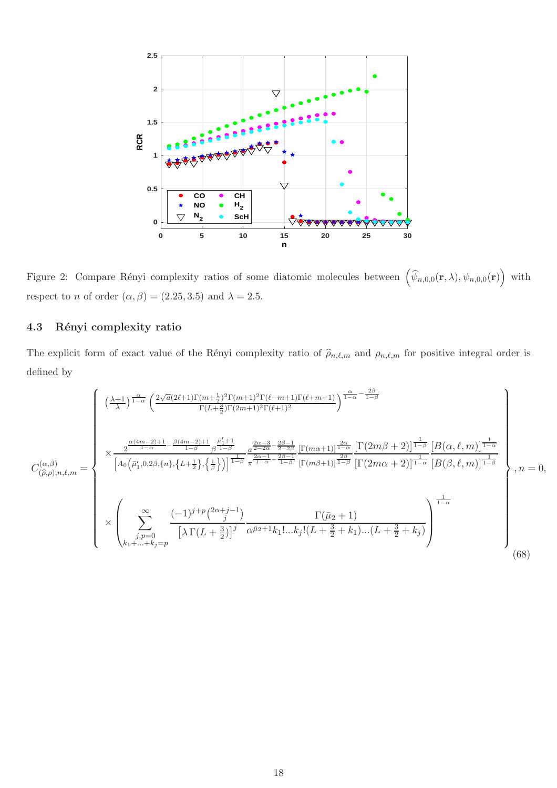

<span id="page-17-0"></span>Figure 2: Compare Rényi complexity ratios of some diatomic molecules between  $(\hat{\psi}_{n,0,0}(\mathbf{r},\lambda), \psi_{n,0,0}(\mathbf{r}))$  with respect to n of order  $(\alpha, \beta) = (2.25, 3.5)$  and  $\lambda = 2.5$ .

## 4.3 Rényi complexity ratio

The explicit form of exact value of the Rényi complexity ratio of  $\hat{\rho}_{n,\ell,m}$  and  $\rho_{n,\ell,m}$  for positive integral order is defined by

<span id="page-17-1"></span>
$$
C_{(\hat{\rho},\rho),n,\ell,m}^{(\alpha,\beta)} = \begin{cases} \left(\frac{\lambda+1}{\lambda}\right)^{\frac{\alpha}{1-\alpha} \left(\frac{2\sqrt{a}(2\ell+1)\Gamma(m+\frac{1}{2})^2\Gamma(m+1)^2\Gamma(\ell-m+1)\Gamma(\ell+m+1)}{\Gamma(L+\frac{3}{2})\Gamma(2m+1)^2\Gamma(\ell+1)^2}\right)^{\frac{\alpha}{1-\alpha} - \frac{2\beta}{1-\beta}} \\ \times \frac{2^{\frac{\alpha(4m-2)+1}{1-\alpha} - \frac{\beta(4m-2)+1}{1-\beta} \frac{\beta_1^{\ell}+1}{\beta^2-\beta}}}{\left[A_0\left(\bar{\mu}_1',0,2\beta,\{n\},\{L+\frac{1}{2}\},\{\frac{1}{\beta}\}\right)\right]^{\frac{1}{1-\beta} \frac{1}{\pi}} \frac{a^{\frac{2\alpha-3}{2-\alpha} - \frac{2\beta-1}{2-\beta}}}{\left[\Gamma(m\beta+1)\right]^{\frac{2\alpha}{1-\beta} \frac{1}{\beta}} \left[\Gamma(2m\beta+2)\right]^{\frac{1}{1-\alpha} \frac{1}{\beta}} \left[B(\alpha,\ell,m)\right]^{\frac{1}{1-\alpha}}}} \\ \times \begin{pmatrix} \sum_{j,p=0}^{\infty} \frac{(-1)^{j+p} \binom{2\alpha+j-1}{j}}{\left[\lambda\Gamma(L+\frac{3}{2})\right]^j} \frac{\Gamma(\bar{\mu}_2+1)}{\alpha^{\bar{\mu}_2+1}k_1!...k_j!(L+\frac{3}{2}+k_1)...(L+\frac{3}{2}+k_j)} \end{pmatrix}^{\frac{1}{1-\alpha}} \\ \times \begin{pmatrix} 0 & 0 \\ 0 & 0 \end{pmatrix} \end{cases}, n = 0, \tag{68}
$$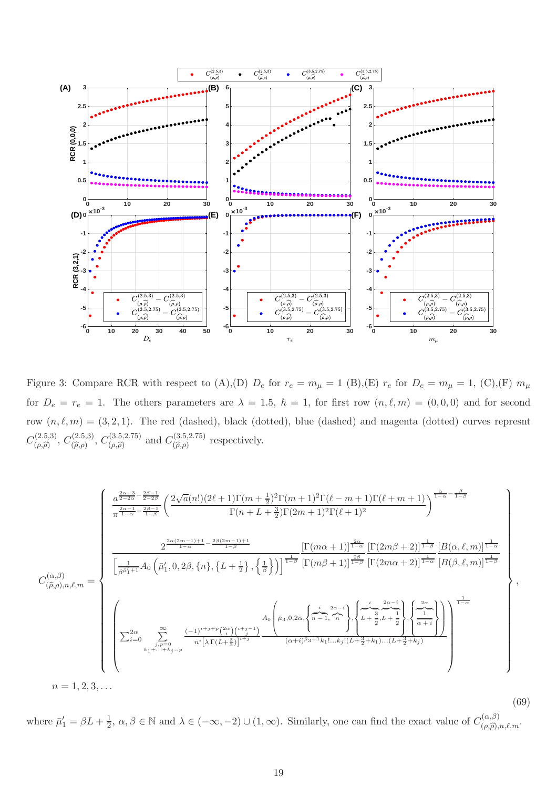

<span id="page-18-0"></span>Figure 3: Compare RCR with respect to (A),(D)  $D_e$  for  $r_e = m_\mu = 1$  (B),(E)  $r_e$  for  $D_e = m_\mu = 1$ , (C),(F)  $m_\mu$ for  $D_e = r_e = 1$ . The others parameters are  $\lambda = 1.5$ ,  $\hbar = 1$ , for first row  $(n, \ell, m) = (0, 0, 0)$  and for second row  $(n, \ell, m) = (3, 2, 1)$ . The red (dashed), black (dotted), blue (dashed) and magenta (dotted) curves represnt  $C^{(2.5,3)}_{(0.0)}$  $C^{(2.5,3)}_{(\rho,\widehat{\rho})}, C^{(2.5,3)}_{(\widehat{\rho},\rho)}$  $(\widehat{\rho}, \rho)$ ,  $C^{(3.5,2.75)}_{(\widehat{\rho}, \widehat{\rho})}$  $(\rho, \hat{\rho})$  and  $C^{(3.5,2.75)}_{(\hat{\rho}, \hat{\rho})}$  $(\widehat{\rho}, \rho)$  respectively.

<span id="page-18-1"></span>
$$
C_{(\hat{\rho},\rho),n,\ell,m}^{(\alpha,\beta)} = \begin{cases} \frac{a^{\frac{2\alpha-3}{2-2\beta}}}{\pi^{\frac{2\alpha-1}{2-2\beta}}}\left(\frac{2\sqrt{a}(n!)(2\ell+1)\Gamma(m+\frac{1}{2})^2\Gamma(m+1)^2\Gamma(\ell-m+1)\Gamma(\ell+m+1)}{\Gamma(n+L+\frac{3}{2})\Gamma(2m+1)^2\Gamma(\ell+1)^2}\right)^{\frac{\alpha}{1-\alpha}-\frac{\beta}{1-\beta}} \\ \\ \frac{2^{\frac{2\alpha(2m-1)+1}{1-\alpha}-\frac{2\beta(2m-1)+1}{1-\beta}}}{\left[\frac{1}{\beta^{\rho_1'}+1}A_0\left(\bar{\mu}_1',0,2\beta,\{n\},\{L+\frac{1}{2}\},\{\frac{1}{\beta}\}\right)\right]^{\frac{1}{1-\beta}}}\frac{\left[\Gamma(m\alpha+1)\right]^{\frac{2\alpha}{1-\alpha}}}{\left[\Gamma(m\beta+1)\right]^{\frac{2\beta}{1-\beta}}\left[\Gamma(2m\alpha+2)\right]^{\frac{1}{1-\alpha}}}\frac{\left[B(\alpha,\ell,m)\right]^{\frac{1}{1-\alpha}}}{\left[B(\beta,\ell,m)\right]^{\frac{1}{1-\beta}}}\right] \\ \\ \left(\sum_{i=0}^{2\alpha}\sum_{\substack{j,\rho=0\\k_1+\ldots+k_j=p}}^{\infty}\frac{(-1)^{i+j+\rho}\binom{2\alpha}{i}\binom{i+j-1}{i}}{\frac{\alpha\beta}{i}\Gamma(\ell+\frac{3}{2})^{\frac{1}{1+\beta}}}\frac{A_0\left(\bar{\mu}_3,0,2\alpha,\left\{\frac{i}{n-1},\frac{2\alpha-i}{n}\right\},\left\{\frac{i}{L+\frac{3}{2},L+\frac{1}{2}}\right\},\left\{\frac{2\alpha}{1-\alpha}\right\}\right)}{\left(\alpha+i)^{\beta_3+1}k_1!\ldots k_j!(L+\frac{3}{2}+k_1)\ldots(L+\frac{3}{2}+k_j)}\right)}\right)^{\frac{1}{1-\alpha}} \\ \\ n=1,2,3,\ldots \end{cases},
$$

(69) where  $\bar{\mu}'_1 = \beta L + \frac{1}{2}$  $\frac{1}{2}$ ,  $\alpha, \beta \in \mathbb{N}$  and  $\lambda \in (-\infty, -2) \cup (1, \infty)$ . Similarly, one can find the exact value of  $C_{(\rho, \hat{\rho}),n,\ell,m}^{(\alpha,\beta)}$ .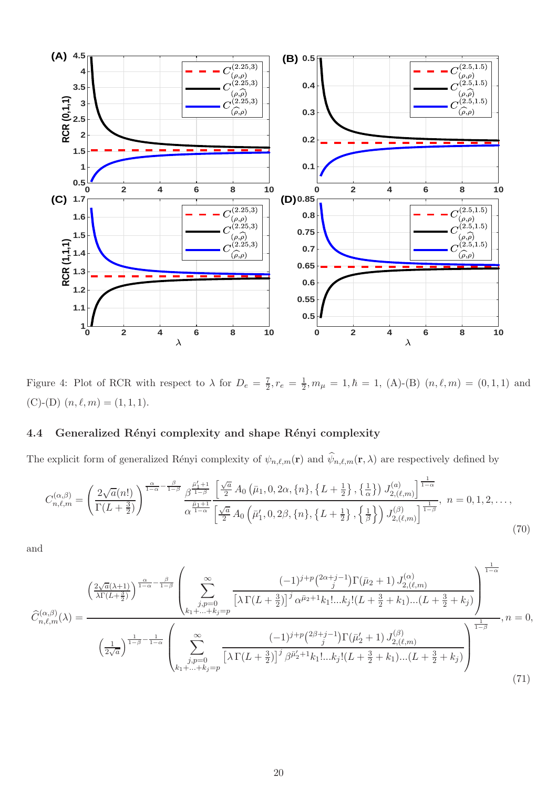

<span id="page-19-2"></span>Figure 4: Plot of RCR with respect to  $\lambda$  for  $D_e = \frac{7}{2}$  $\frac{7}{2}, r_e = \frac{1}{2}$  $\frac{1}{2}, m_{\mu} = 1, \hbar = 1, (A)$ -(B)  $(n, \ell, m) = (0, 1, 1)$  and (C)-(D)  $(n, \ell, m) = (1, 1, 1).$ 

### 4.4 Generalized Rényi complexity and shape Rényi complexity

The explicit form of generalized Rényi complexity of  $\psi_{n,\ell,m}(\mathbf{r})$  and  $\psi_{n,\ell,m}(\mathbf{r},\lambda)$  are respectively defined by

<span id="page-19-0"></span>
$$
C_{n,\ell,m}^{(\alpha,\beta)} = \left(\frac{2\sqrt{a}(n!)}{\Gamma(L+\frac{3}{2})}\right)^{\frac{\alpha}{1-\alpha} - \frac{\beta}{1-\beta}} \frac{\beta^{\frac{\tilde{\mu}_1^{\prime}+1}{1-\beta}}}{\alpha^{\frac{\tilde{\mu}_1+1}{1-\alpha}}} \frac{\left[\frac{\sqrt{a}}{2}A_0\left(\bar{\mu}_1, 0, 2\alpha, \{n\}, \{L+\frac{1}{2}\}, \{\frac{1}{\alpha}\}\right)J_{2,(\ell,m)}^{(a)}\right]^{\frac{1}{1-\alpha}}}{\left[\frac{\sqrt{a}}{2}A_0\left(\bar{\mu}_1^{\prime}, 0, 2\beta, \{n\}, \{L+\frac{1}{2}\}, \{\frac{1}{\beta}\}\right)J_{2,(\ell,m)}^{(\beta)}\right]^{\frac{1}{1-\beta}}}, \quad n = 0, 1, 2, \ldots,
$$
\n(70)

and

<span id="page-19-1"></span>
$$
\hat{C}_{n,\ell,m}^{(\alpha,\beta)}(\lambda) = \frac{\left(\frac{2\sqrt{a}(\lambda+1)}{\lambda\Gamma(L+\frac{3}{2})}\right)^{\frac{\alpha}{1-\alpha}-\frac{\beta}{1-\beta}}\left(\sum_{\substack{j,p=0\\k_1+\ldots+k_j=p}}^{\infty}\frac{(-1)^{j+p}\binom{2\alpha+j-1}{j}\Gamma(\bar{\mu}_2+1)J_{2,(\ell,m)}^{(\alpha)}}{[\lambda\Gamma(L+\frac{3}{2})]^j\alpha^{\bar{\mu}_2+1}k_1!\ldots k_j!(L+\frac{3}{2}+k_1)\ldots(L+\frac{3}{2}+k_j)}\right)^{\frac{1}{1-\alpha}}}{\left(\frac{1}{2\sqrt{a}}\right)^{\frac{1}{1-\beta}-\frac{1}{1-\alpha}}\left(\sum_{\substack{j,p=0\\k_1+\ldots+k_j=p}}^{\infty}\frac{(-1)^{j+p}\binom{2\beta+j-1}{j}\Gamma(\bar{\mu}_2'+1)J_{2,(\ell,m)}^{(\beta)}}{[\lambda\Gamma(L+\frac{3}{2})]^j\beta^{\bar{\mu}_2'+1}k_1!\ldots k_j!(L+\frac{3}{2}+k_1)\ldots(L+\frac{3}{2}+k_j)}\right)^{\frac{1}{1-\beta}}},n=0,
$$
\n(71)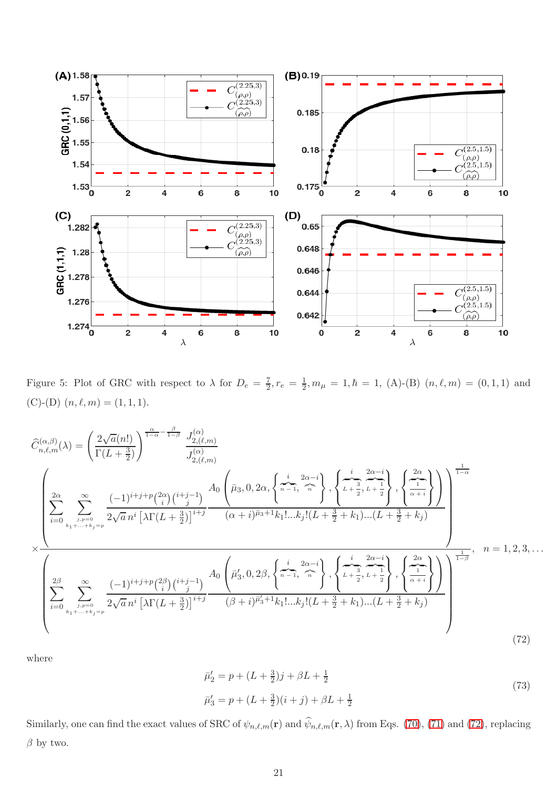

<span id="page-20-1"></span>Figure 5: Plot of GRC with respect to  $\lambda$  for  $D_e = \frac{7}{2}$  $\frac{7}{2}, r_e = \frac{1}{2}$  $\frac{1}{2}, m_{\mu} = 1, \hbar = 1, (A)$ -(B)  $(n, \ell, m) = (0, 1, 1)$  and (C)-(D)  $(n, \ell, m) = (1, 1, 1).$ 

<span id="page-20-0"></span>
$$
\hat{C}_{n,\ell,m}^{(\alpha,\beta)}(\lambda) = \left(\frac{2\sqrt{a}(n!)}{\Gamma(L+\frac{3}{2})}\right)^{\frac{\alpha}{1-\alpha} - \frac{\beta}{1-\beta}} \frac{J_{2,(\ell,m)}^{(\alpha)}}{J_{2,(\ell,m)}^{(\alpha)}}
$$
\n
$$
\sum_{i,p=0}^{\infty} \sum_{\substack{j,p=0 \ j,p=0}}^{\infty} \frac{(-1)^{i+j+p} \binom{2\alpha}{i} \binom{i+j-1}{j}}{2\sqrt{a} n^{i} \left[\lambda \Gamma(L+\frac{3}{2})\right]^{i+j}} \frac{A_0 \left(\bar{\mu}_3, 0, 2\alpha, \left\{\pi-1, \frac{2\alpha-i}{n}\right\}, \left\{\frac{i}{L+\frac{3}{2}}, \frac{2\alpha-i}{L+\frac{1}{2}}\right\}, \left\{\frac{2\alpha}{\alpha+i}\right\}\right)}{\left(\alpha+i\right)^{\bar{\mu}_3+1} k_1! \dots k_j! (L+\frac{3}{2}+k_1) \dots (L+\frac{3}{2}+k_j)}\right)}
$$
\n
$$
\times \frac{\lambda}{\left(\sum_{i=0}^{2\beta} \sum_{\substack{j,p=0 \ j,p=0 \ j,p=0}}^{\infty} \frac{(-1)^{i+j+p} \binom{2\beta}{i} \binom{i+j-1}{j}}{2\sqrt{a} n^{i} \left[\lambda \Gamma(L+\frac{3}{2})\right]^{i+j}} \frac{A_0 \left(\bar{\mu}_3^{\prime}, 0, 2\beta, \left\{\pi-1, \frac{2\alpha-i}{n}\right\}, \left\{\frac{i}{L+\frac{3}{2}}, \frac{2\alpha-i}{L+\frac{1}{2}}\right\}, \left\{\frac{2\alpha}{\alpha+i}\right\}\right)}{\left(\beta+i\right)^{\bar{\mu}_3+1} k_1! \dots k_j! (L+\frac{3}{2}+k_1) \dots (L+\frac{3}{2}+k_j)}\right)^{\frac{1}{1-\beta}}}, \quad n = 1, 2, 3, \dots
$$
\n
$$
(72)
$$

where

$$
\bar{\mu}'_2 = p + (L + \frac{3}{2})j + \beta L + \frac{1}{2}
$$
  
\n
$$
\bar{\mu}'_3 = p + (L + \frac{3}{2})(i + j) + \beta L + \frac{1}{2}
$$
\n(73)

Similarly, one can find the exact values of SRC of  $\psi_{n,\ell,m}(\mathbf{r})$  and  $\psi_{n,\ell,m}(\mathbf{r},\lambda)$  from Eqs. [\(70\)](#page-19-0), [\(71\)](#page-19-1) and [\(72\)](#page-20-0), replacing  $\beta$  by two.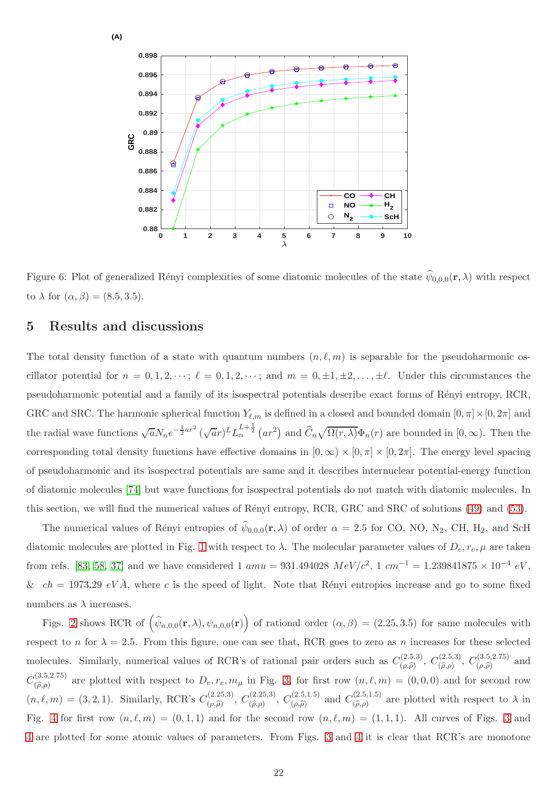

<span id="page-21-1"></span>Figure 6: Plot of generalized Rényi complexities of some diatomic molecules of the state  $\psi_{0,0,0}(\mathbf{r},\lambda)$  with respect to  $\lambda$  for  $(\alpha, \beta) = (8.5, 3.5)$ .

## <span id="page-21-0"></span>5 Results and discussions

The total density function of a state with quantum numbers  $(n, \ell, m)$  is separable for the pseudoharmonic oscillator potential for  $n = 0, 1, 2, \dots$ ;  $\ell = 0, 1, 2, \dots$ ; and  $m = 0, \pm 1, \pm 2, \dots, \pm \ell$ . Under this circumstances the pseudoharmonic potential and a family of its isospectral potentials describe exact forms of R´enyi entropy, RCR, GRC and SRC. The harmonic spherical function  $Y_{\ell,m}$  is defined in a closed and bounded domain  $[0, \pi] \times [0, 2\pi]$  and the radial wave functions  $\sqrt{a}N_ne^{-\frac{1}{2}ar^2}(\sqrt{ar})^L L_n^{L+\frac{1}{2}}(ar^2)$  and  $\widehat{C}_n\sqrt{\Omega(r,\lambda)}\Phi_n(r)$  are bounded in  $[0,\infty)$ . Then the corresponding total density functions have effective domains in  $[0, \infty) \times [0, \pi] \times [0, 2\pi]$ . The energy level spacing of pseudoharmonic and its isospectral potentials are same and it describes internuclear potential-energy function of diatomic molecules [\[74\]](#page-28-19) but wave functions for isospectral potentials do not match with diatomic molecules. In this section, we will find the numerical values of Rényi entropy, RCR, GRC and SRC of solutions [\(49\)](#page-14-1) and [\(53\)](#page-14-2).

The numerical values of Rényi entropies of  $\psi_{0,0,0}(\mathbf{r},\lambda)$  of order  $\alpha = 2.5$  for CO, NO, N<sub>2</sub>, CH, H<sub>2</sub>, and ScH diatomic molecules are plotted in Fig. [1](#page-16-0) with respect to  $\lambda$ . The molecular parameter values of  $D_e, r_e, \mu$  are taken from refs. [\[83,](#page-29-5) [58,](#page-28-3) [37\]](#page-27-7) and we have considered 1  $amu = 931.494028 \; MeV/c^2$ , 1  $cm^{-1} = 1.239841875 \times 10^{-4} \; eV$ , &  $c\hbar = 1973.29 \text{ eV} \AA$ , where c is the speed of light. Note that Rényi entropies increase and go to some fixed numbers as  $\lambda$  increases.

Figs. [2](#page-17-0) shows RCR of  $(\hat{\psi}_{n,0,0}(\mathbf{r},\lambda), \psi_{n,0,0}(\mathbf{r}))$  of rational order  $(\alpha,\beta) = (2.25,3.5)$  for same molecules with respect to n for  $\lambda = 2.5$ . From this figure, one can see that, RCR goes to zero as n increases for these selected molecules. Similarly, numerical values of RCR's of rational pair orders such as  $C_{(a)}^{(2.5,3)}$  $C^{(2.5,3)}_{(\rho,\widehat{\rho})},\ C^{(2.5,3)}_{(\widehat{\rho},\rho)}$  $C^{(2.5,3)}_{(\hat{\rho},\rho)}, C^{(3.5,2.75)}_{(\rho,\hat{\rho})}$  $\big(\rho,\widehat{\rho}\big)$  and  $C^{(3.5,2.75)}_{\hat{c}\hat{a}\hat{b}}$  $(\hat{\rho}, \hat{\rho})$  are plotted with respect to  $D_e, r_e, m_\mu$  in Fig. [3,](#page-18-0) for first row  $(n, \ell, m) = (0, 0, 0)$  and for second row  $(n, \ell, m) = (3, 2, 1)$ . Similarly, RCR's  $C_{(0, \widehat{\alpha})}^{(2.25, 3)}$  $C^{(2.25,3)}_{(\rho,\widehat{\rho})},\ C^{(2.25,3)}_{(\widehat{\rho},\rho)}$  $(C_{(\hat{\rho}, \rho)}^{(2.25,3)}, C_{(\rho, \hat{\rho})}^{(2.5,1.5)}$  $(\rho, \hat{\rho})$  and  $C^{(2.5,1.5)}_{(\hat{\rho}, \hat{\rho})}$  $(\hat{\rho}, \rho)$  are plotted with respect to  $\lambda$  in Fig. [4](#page-19-2) for first row  $(n, \ell, m) = (0, 1, 1)$  and for the second row  $(n, \ell, m) = (1, 1, 1)$ . All curves of Figs. [3](#page-18-0) and [4](#page-19-2) are plotted for some atomic values of parameters. From Figs. [3](#page-18-0) and [4](#page-19-2) it is clear that RCR's are monotone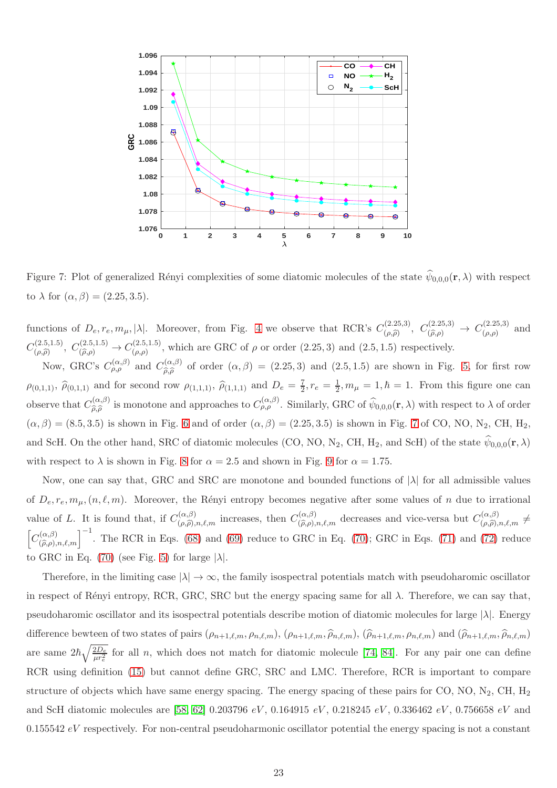

<span id="page-22-0"></span>Figure 7: Plot of generalized Rényi complexities of some diatomic molecules of the state  $\psi_{0,0,0}(\mathbf{r},\lambda)$  with respect to  $\lambda$  for  $(\alpha, \beta) = (2.25, 3.5)$ .

functions of  $D_e, r_e, m_\mu, |\lambda|$ . Moreover, from Fig. [4](#page-19-2) we observe that RCR's  $C_{(\rho,\widehat{\rho})}^{(2.25,3)}$  $(C_{(\rho,\widehat{\rho})}^{(2.25,3)}, C_{(\widehat{\rho},\rho)}^{(2.25,3)} \rightarrow C_{(\rho,\rho)}^{(2.25,3)}$  $\big( \begin{matrix} (2.25,3) \\ (\rho,\rho) \end{matrix} \big)$  and  $C^{(2.5,1.5)}_{(0.2)}$  $(C_{(\rho,\widehat{\rho})}^{(2.5,1.5)}, C_{(\widehat{\rho},\rho)}^{(2.5,1.5)} \to C_{(\rho,\rho)}^{(2.5,1.5)}$  $(\rho,\rho)$ , which are GRC of  $\rho$  or order  $(2.25,3)$  and  $(2.5,1.5)$  respectively.

Now, GRC's  $C_{\rho,\rho}^{(\alpha,\beta)}$  and  $C_{\widehat{\alpha},\widehat{\rho}}^{(\alpha,\beta)}$ (α,  $\beta$ ) of order  $(\alpha, \beta) = (2.25, 3)$  and  $(2.5, 1.5)$  are shown in Fig. [5,](#page-20-1) for first row  $\rho_{(0,1,1)}, \hat{\rho}_{(0,1,1)}$  and for second row  $\rho_{(1,1,1)}, \hat{\rho}_{(1,1,1)}$  and  $D_e = \frac{7}{2}$ ,  $r_e = \frac{1}{2}$ ,  $m_\mu = 1$ ,  $\hbar = 1$ . From this figure one can observe that  $C_{\widehat{\sigma}\widehat{\sigma}}^{(\alpha,\beta)}$  $\hat{\rho}_{\hat{\rho},\hat{\rho}}^{(\alpha,\beta)}$  is monotone and approaches to  $C_{\rho,\rho}^{(\alpha,\beta)}$ . Similarly, GRC of  $\hat{\psi}_{0,0,0}(\mathbf{r},\lambda)$  with respect to  $\lambda$  of order  $(\alpha, \beta) = (8.5, 3.5)$  is shown in Fig. [6](#page-21-1) and of order  $(\alpha, \beta) = (2.25, 3.5)$  is shown in Fig. [7](#page-22-0) of CO, NO, N<sub>2</sub>, CH, H<sub>2</sub>, and ScH. On the other hand, SRC of diatomic molecules (CO, NO, N<sub>2</sub>, CH, H<sub>2</sub>, and ScH) of the state  $\psi_{0,0,0}(\mathbf{r},\lambda)$ with respect to  $\lambda$  is shown in Fig. [8](#page-23-1) for  $\alpha = 2.5$  and shown in Fig. [9](#page-24-11) for  $\alpha = 1.75$ .

Now, one can say that, GRC and SRC are monotone and bounded functions of |λ| for all admissible values of  $D_e, r_e, m_\mu, (n, \ell, m)$ . Moreover, the Rényi entropy becomes negative after some values of n due to irrational value of L. It is found that, if  $C_{(\rho,\hat{\rho}),n,\ell,m}^{(\alpha,\beta)}$  increases, then  $C_{(\hat{\rho},\rho),n,\ell,m}^{(\alpha,\beta)}$  decreases and vice-versa but  $C_{(\rho,\hat{\rho}),n,\ell,m}^{(\alpha,\beta)} \neq$  $\sqrt{ }$  $C^{(\alpha,\beta)}_{(\widehat{\rho},\rho),n,\ell,m}$ <sup>-1</sup>. The RCR in Eqs. [\(68\)](#page-17-1) and [\(69\)](#page-18-1) reduce to GRC in Eq. [\(70\)](#page-19-0); GRC in Eqs. [\(71\)](#page-19-1) and [\(72\)](#page-20-0) reduce to GRC in Eq. [\(70\)](#page-19-0) (see Fig. [5\)](#page-20-1) for large  $|\lambda|$ .

Therefore, in the limiting case  $|\lambda| \to \infty$ , the family isospectral potentials match with pseudoharomic oscillator in respect of Rényi entropy, RCR, GRC, SRC but the energy spacing same for all  $\lambda$ . Therefore, we can say that, pseudoharomic oscillator and its isospectral potentials describe motion of diatomic molecules for large  $|\lambda|$ . Energy difference bewteen of two states of pairs  $(\rho_{n+1,\ell,m}, \rho_{n,\ell,m})$ ,  $(\rho_{n+1,\ell,m}, \widehat{\rho}_{n,\ell,m})$ ,  $(\widehat{\rho}_{n+1,\ell,m}, \rho_{n,\ell,m})$  and  $(\widehat{\rho}_{n+1,\ell,m}, \widehat{\rho}_{n,\ell,m})$ are same  $2\hbar \sqrt{\frac{2D_e}{\mu r_e^2}}$  for all n, which does not match for diatomic molecule [\[74,](#page-28-19) [84\]](#page-29-6). For any pair one can define RCR using definition [\(15\)](#page-5-2) but cannot define GRC, SRC and LMC. Therefore, RCR is important to compare structure of objects which have same energy spacing. The energy spacing of these pairs for CO, NO, N<sub>2</sub>, CH, H<sub>2</sub> and ScH diatomic molecules are [\[58,](#page-28-3) [62\]](#page-28-7) 0.203796  $eV$ , 0.164915  $eV$ , 0.218245  $eV$ , 0.336462  $eV$ , 0.756658  $eV$  and  $0.155542 \, eV$  respectively. For non-central pseudoharmonic oscillator potential the energy spacing is not a constant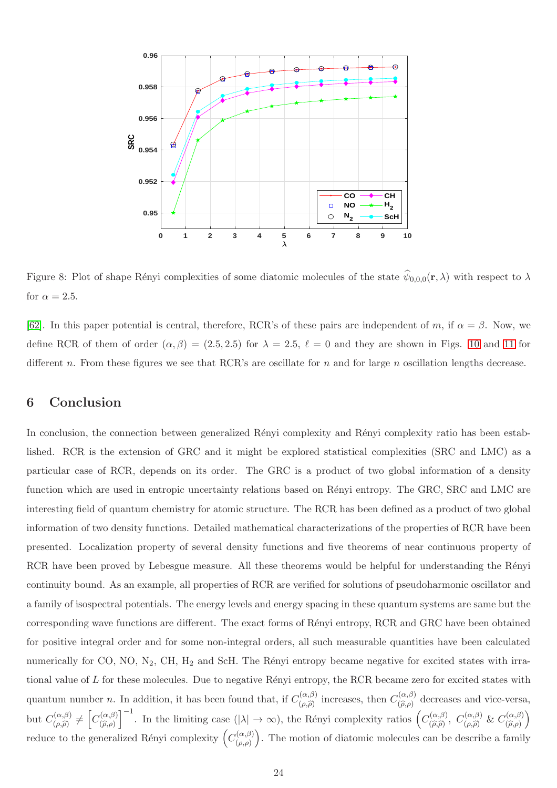

<span id="page-23-1"></span>Figure 8: Plot of shape Rényi complexities of some diatomic molecules of the state  $\psi_{0,0,0}(\mathbf{r},\lambda)$  with respect to  $\lambda$ for  $\alpha = 2.5$ .

[\[62\]](#page-28-7). In this paper potential is central, therefore, RCR's of these pairs are independent of m, if  $\alpha = \beta$ . Now, we define RCR of them of order  $(\alpha, \beta) = (2.5, 2.5)$  for  $\lambda = 2.5$ ,  $\ell = 0$  and they are shown in Figs. [10](#page-25-7) and [11](#page-26-11) for different n. From these figures we see that RCR's are oscillate for n and for large n oscillation lengths decrease.

## <span id="page-23-0"></span>6 Conclusion

In conclusion, the connection between generalized Rényi complexity and Rényi complexity ratio has been established. RCR is the extension of GRC and it might be explored statistical complexities (SRC and LMC) as a particular case of RCR, depends on its order. The GRC is a product of two global information of a density function which are used in entropic uncertainty relations based on Rényi entropy. The GRC, SRC and LMC are interesting field of quantum chemistry for atomic structure. The RCR has been defined as a product of two global information of two density functions. Detailed mathematical characterizations of the properties of RCR have been presented. Localization property of several density functions and five theorems of near continuous property of RCR have been proved by Lebesgue measure. All these theorems would be helpful for understanding the Rényi continuity bound. As an example, all properties of RCR are verified for solutions of pseudoharmonic oscillator and a family of isospectral potentials. The energy levels and energy spacing in these quantum systems are same but the corresponding wave functions are different. The exact forms of Rényi entropy, RCR and GRC have been obtained for positive integral order and for some non-integral orders, all such measurable quantities have been calculated numerically for CO, NO,  $N_2$ , CH,  $H_2$  and ScH. The Rényi entropy became negative for excited states with irrational value of  $L$  for these molecules. Due to negative Rényi entropy, the RCR became zero for excited states with quantum number *n*. In addition, it has been found that, if  $C_{(a)}^{(\alpha,\beta)}$  $\eta_{(\rho,\beta)}^{(\alpha,\beta)}$  increases, then  $C_{(\rho,\rho)}^{(\alpha,\beta)}$  $(\widehat{\rho}, \rho)$  decreases and vice-versa, but  $C_{(a)}^{(\alpha,\beta)}$  $\binom{\alpha,\beta}{\beta} \neq \left[C^{(\alpha,\beta)}_{(\widehat{\rho},\rho)}\right]$  $(\widehat{\rho}, \rho)$  $\left[\begin{matrix} -1 \\ 1 \end{matrix}\right]$ . In the limiting case (| $\lambda$ | → ∞), the Rényi complexity ratios  $(C_{(\widehat{\rho}, \widehat{\rho})}^{(\alpha,\beta)}$  $(\alpha,\beta), C^{(\alpha,\beta)}_{(\rho,\widehat{\rho})} \& C^{(\alpha,\beta)}_{(\widehat{\rho},\rho)}$  $(\widehat{\rho}, \rho)$  $\setminus$ reduce to the generalized Rényi complexity  $\left(C_{(a)}^{(\alpha,\beta)}\right)$  $(\rho,\rho)$ . The motion of diatomic molecules can be describe a family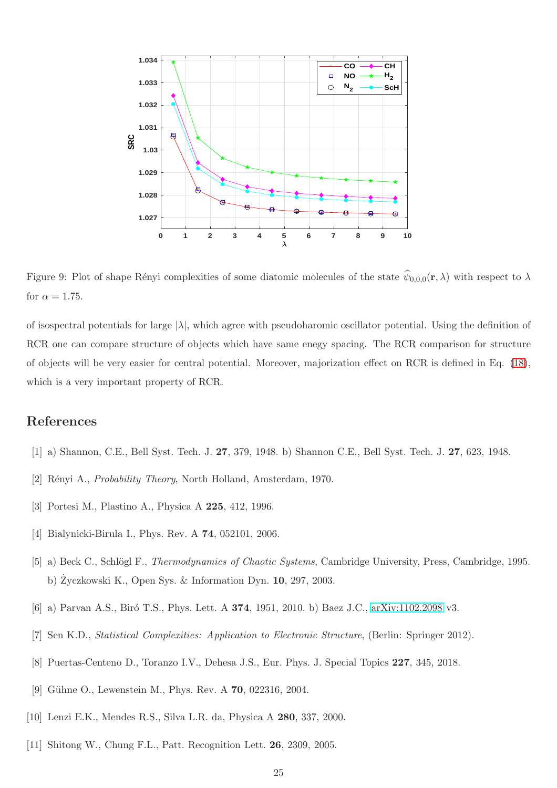

<span id="page-24-11"></span>Figure 9: Plot of shape Rényi complexities of some diatomic molecules of the state  $\psi_{0,0,0}(\mathbf{r},\lambda)$  with respect to  $\lambda$ for  $\alpha = 1.75$ .

of isospectral potentials for large  $|\lambda|$ , which agree with pseudoharomic oscillator potential. Using the definition of RCR one can compare structure of objects which have same enegy spacing. The RCR comparison for structure of objects will be very easier for central potential. Moreover, majorization effect on RCR is defined in Eq. [\(18\)](#page-6-0), which is a very important property of RCR.

## <span id="page-24-0"></span>References

- <span id="page-24-1"></span>[1] a) Shannon, C.E., Bell Syst. Tech. J. 27, 379, 1948. b) Shannon C.E., Bell Syst. Tech. J. 27, 623, 1948.
- <span id="page-24-2"></span>[2] Rényi A., *Probability Theory*, North Holland, Amsterdam, 1970.
- <span id="page-24-3"></span>[3] Portesi M., Plastino A., Physica A 225, 412, 1996.
- <span id="page-24-4"></span>[4] Bialynicki-Birula I., Phys. Rev. A **74**, 052101, 2006.
- <span id="page-24-5"></span>[5] a) Beck C., Schlögl F., *Thermodynamics of Chaotic Systems*, Cambridge University, Press, Cambridge, 1995. b) Zyczkowski K., Open Sys. & Information Dyn. 10, 297, 2003.
- <span id="page-24-6"></span>[6] a) Parvan A.S., Biró T.S., Phys. Lett. A 374, 1951, 2010. b) Baez J.C., [arXiv:1102.2098](http://arxiv.org/abs/1102.2098) v3.
- <span id="page-24-7"></span>[7] Sen K.D., Statistical Complexities: Application to Electronic Structure, (Berlin: Springer 2012).
- <span id="page-24-8"></span>[8] Puertas-Centeno D., Toranzo I.V., Dehesa J.S., Eur. Phys. J. Special Topics 227, 345, 2018.
- <span id="page-24-9"></span>[9] Gühne O., Lewenstein M., Phys. Rev. A **70**, 022316, 2004.
- <span id="page-24-10"></span>[10] Lenzi E.K., Mendes R.S., Silva L.R. da, Physica A 280, 337, 2000.
- [11] Shitong W., Chung F.L., Patt. Recognition Lett. 26, 2309, 2005.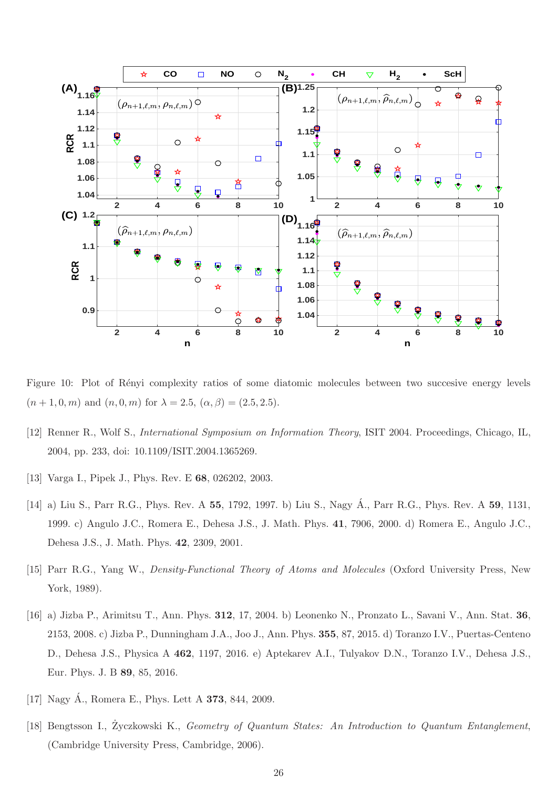

<span id="page-25-7"></span>Figure 10: Plot of Rényi complexity ratios of some diatomic molecules between two succesive energy levels  $(n+1,0,m)$  and  $(n,0,m)$  for  $\lambda = 2.5$ ,  $(\alpha, \beta) = (2.5, 2.5)$ .

- <span id="page-25-1"></span><span id="page-25-0"></span>[12] Renner R., Wolf S., International Symposium on Information Theory, ISIT 2004. Proceedings, Chicago, IL, 2004, pp. 233, doi: 10.1109/ISIT.2004.1365269.
- <span id="page-25-5"></span>[13] Varga I., Pipek J., Phys. Rev. E 68, 026202, 2003.
- [14] a) Liu S., Parr R.G., Phys. Rev. A 55, 1792, 1997. b) Liu S., Nagy Á., Parr R.G., Phys. Rev. A 59, 1131, 1999. c) Angulo J.C., Romera E., Dehesa J.S., J. Math. Phys. 41, 7906, 2000. d) Romera E., Angulo J.C., Dehesa J.S., J. Math. Phys. 42, 2309, 2001.
- <span id="page-25-6"></span><span id="page-25-3"></span>[15] Parr R.G., Yang W., Density-Functional Theory of Atoms and Molecules (Oxford University Press, New York, 1989).
- [16] a) Jizba P., Arimitsu T., Ann. Phys. 312, 17, 2004. b) Leonenko N., Pronzato L., Savani V., Ann. Stat. 36, 2153, 2008. c) Jizba P., Dunningham J.A., Joo J., Ann. Phys. 355, 87, 2015. d) Toranzo I.V., Puertas-Centeno D., Dehesa J.S., Physica A 462, 1197, 2016. e) Aptekarev A.I., Tulyakov D.N., Toranzo I.V., Dehesa J.S., Eur. Phys. J. B 89, 85, 2016.
- <span id="page-25-4"></span><span id="page-25-2"></span>[17] Nagy  $\acute{A}$ ., Romera E., Phys. Lett A **373**, 844, 2009.
- [18] Bengtsson I., Życzkowski K., Geometry of Quantum States: An Introduction to Quantum Entanglement, (Cambridge University Press, Cambridge, 2006).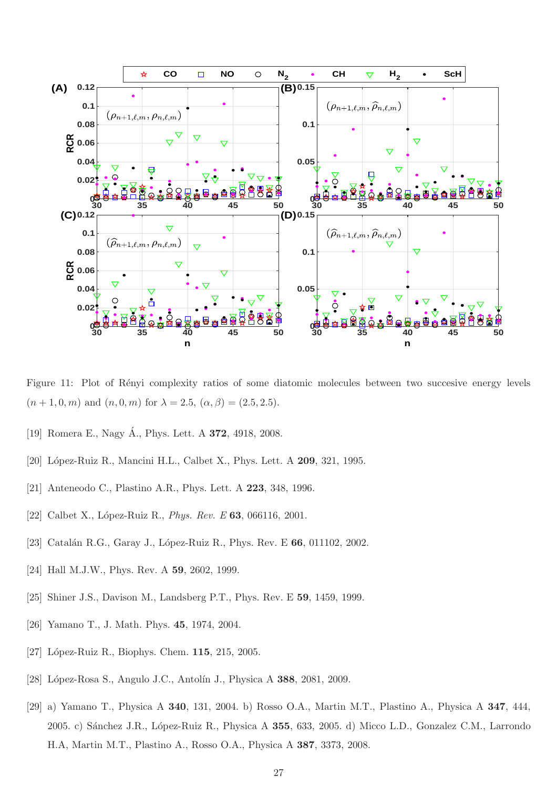

<span id="page-26-11"></span>Figure 11: Plot of Rényi complexity ratios of some diatomic molecules between two succesive energy levels  $(n+1,0,m)$  and  $(n,0,m)$  for  $\lambda = 2.5$ ,  $(\alpha, \beta) = (2.5, 2.5)$ .

- <span id="page-26-2"></span><span id="page-26-0"></span>[19] Romera E., Nagy Á., Phys. Lett. A **372**, 4918, 2008.
- <span id="page-26-3"></span>[20] López-Ruiz R., Mancini H.L., Calbet X., Phys. Lett. A **209**, 321, 1995.
- <span id="page-26-1"></span>[21] Anteneodo C., Plastino A.R., Phys. Lett. A 223, 348, 1996.
- <span id="page-26-4"></span>[22] Calbet X., López-Ruiz R., *Phys. Rev. E* 63, 066116, 2001.
- <span id="page-26-5"></span>[23] Catalán R.G., Garay J., López-Ruiz R., Phys. Rev. E 66, 011102, 2002.
- <span id="page-26-6"></span>[24] Hall M.J.W., Phys. Rev. A **59**, 2602, 1999.
- <span id="page-26-7"></span>[25] Shiner J.S., Davison M., Landsberg P.T., Phys. Rev. E 59, 1459, 1999.
- <span id="page-26-8"></span>[26] Yamano T., J. Math. Phys. 45, 1974, 2004.
- <span id="page-26-9"></span>[27] López-Ruiz R., Biophys. Chem. 115, 215, 2005.
- <span id="page-26-10"></span>[28] López-Rosa S., Angulo J.C., Antolín J., Physica A 388, 2081, 2009.
- [29] a) Yamano T., Physica A 340, 131, 2004. b) Rosso O.A., Martin M.T., Plastino A., Physica A 347, 444, 2005. c) Sánchez J.R., López-Ruiz R., Physica A 355, 633, 2005. d) Micco L.D., Gonzalez C.M., Larrondo H.A, Martin M.T., Plastino A., Rosso O.A., Physica A 387, 3373, 2008.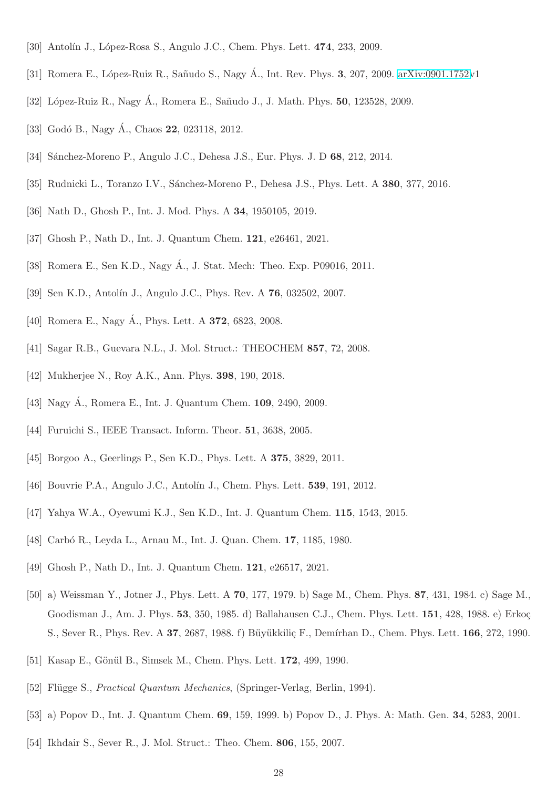- <span id="page-27-1"></span><span id="page-27-0"></span>[30] Antolín J., López-Rosa S., Angulo J.C., Chem. Phys. Lett. 474, 233, 2009.
- <span id="page-27-2"></span>[31] Romera E., López-Ruiz R., Sañudo S., Nagy Á., Int. Rev. Phys. 3, 207, 2009. [arXiv:0901.1752v](http://arxiv.org/abs/0901.1752)1
- <span id="page-27-3"></span>[32] López-Ruiz R., Nagy A., Romera E., Sañudo J., J. Math. Phys. **50**, 123528, 2009.
- <span id="page-27-4"></span>[33] Godó B., Nagy Á., Chaos  $22$ , 023118, 2012.
- <span id="page-27-5"></span>[34] Sánchez-Moreno P., Angulo J.C., Dehesa J.S., Eur. Phys. J. D 68, 212, 2014.
- <span id="page-27-6"></span>[35] Rudnicki L., Toranzo I.V., Sánchez-Moreno P., Dehesa J.S., Phys. Lett. A 380, 377, 2016.
- <span id="page-27-7"></span>[36] Nath D., Ghosh P., Int. J. Mod. Phys. A 34, 1950105, 2019.
- <span id="page-27-8"></span>[37] Ghosh P., Nath D., Int. J. Quantum Chem. 121, e26461, 2021.
- <span id="page-27-9"></span>[38] Romera E., Sen K.D., Nagy Á., J. Stat. Mech: Theo. Exp. P09016, 2011.
- <span id="page-27-10"></span>[39] Sen K.D., Antolín J., Angulo J.C., Phys. Rev. A **76**, 032502, 2007.
- <span id="page-27-11"></span>[40] Romera E., Nagy Á., Phys. Lett. A **372**, 6823, 2008.
- <span id="page-27-12"></span>[41] Sagar R.B., Guevara N.L., J. Mol. Struct.: THEOCHEM 857, 72, 2008.
- <span id="page-27-13"></span>[42] Mukherjee N., Roy A.K., Ann. Phys. **398**, 190, 2018.
- <span id="page-27-14"></span>[43] Nagy A., Romera E., Int. J. Quantum Chem. **109**, 2490, 2009.
- <span id="page-27-15"></span>[44] Furuichi S., IEEE Transact. Inform. Theor. **51**, 3638, 2005.
- <span id="page-27-16"></span>[45] Borgoo A., Geerlings P., Sen K.D., Phys. Lett. A **375**, 3829, 2011.
- <span id="page-27-17"></span>[46] Bouvrie P.A., Angulo J.C., Antolín J., Chem. Phys. Lett. **539**, 191, 2012.
- <span id="page-27-18"></span>[47] Yahya W.A., Oyewumi K.J., Sen K.D., Int. J. Quantum Chem. 115, 1543, 2015.
- <span id="page-27-19"></span>[48] Carbó R., Leyda L., Arnau M., Int. J. Quan. Chem. **17**, 1185, 1980.
- <span id="page-27-20"></span>[49] Ghosh P., Nath D., Int. J. Quantum Chem. 121, e26517, 2021.
- [50] a) Weissman Y., Jotner J., Phys. Lett. A 70, 177, 1979. b) Sage M., Chem. Phys. 87, 431, 1984. c) Sage M., Goodisman J., Am. J. Phys. 53, 350, 1985. d) Ballahausen C.J., Chem. Phys. Lett. 151, 428, 1988. e) Erkoç S., Sever R., Phys. Rev. A 37, 2687, 1988. f) Büyükkiliç F., Demírhan D., Chem. Phys. Lett. 166, 272, 1990.
- <span id="page-27-22"></span><span id="page-27-21"></span>[51] Kasap E., Gönül B., Simsek M., Chem. Phys. Lett. **172**, 499, 1990.
- <span id="page-27-23"></span>[52] Flügge S., *Practical Quantum Mechanics*, (Springer-Verlag, Berlin, 1994).
- <span id="page-27-24"></span>[53] a) Popov D., Int. J. Quantum Chem. 69, 159, 1999. b) Popov D., J. Phys. A: Math. Gen. 34, 5283, 2001.
- [54] Ikhdair S., Sever R., J. Mol. Struct.: Theo. Chem. 806, 155, 2007.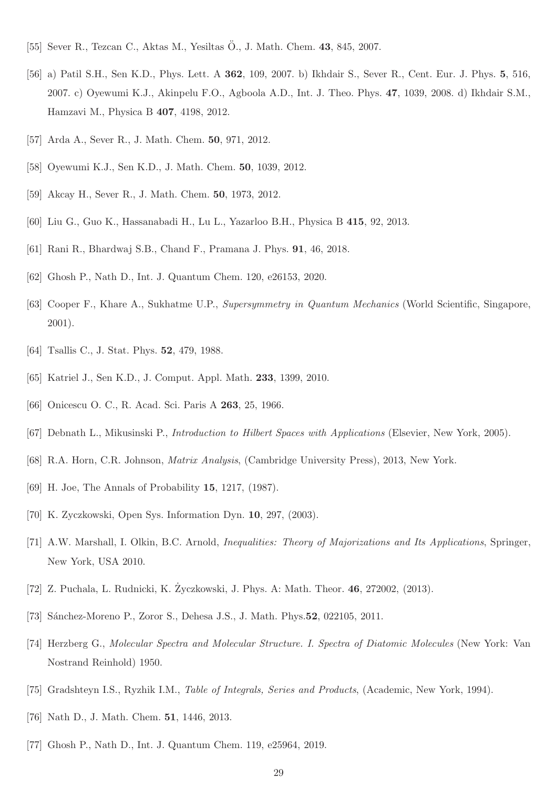- <span id="page-28-1"></span><span id="page-28-0"></span>[55] Sever R., Tezcan C., Aktas M., Yesiltas Ö., J. Math. Chem.  $43, 845, 2007$ .
- [56] a) Patil S.H., Sen K.D., Phys. Lett. A 362, 109, 2007. b) Ikhdair S., Sever R., Cent. Eur. J. Phys. 5, 516, 2007. c) Oyewumi K.J., Akinpelu F.O., Agboola A.D., Int. J. Theo. Phys. 47, 1039, 2008. d) Ikhdair S.M., Hamzavi M., Physica B 407, 4198, 2012.
- <span id="page-28-3"></span><span id="page-28-2"></span>[57] Arda A., Sever R., J. Math. Chem. 50, 971, 2012.
- <span id="page-28-4"></span>[58] Oyewumi K.J., Sen K.D., J. Math. Chem. 50, 1039, 2012.
- <span id="page-28-5"></span>[59] Akcay H., Sever R., J. Math. Chem. 50, 1973, 2012.
- <span id="page-28-6"></span>[60] Liu G., Guo K., Hassanabadi H., Lu L., Yazarloo B.H., Physica B 415, 92, 2013.
- <span id="page-28-7"></span>[61] Rani R., Bhardwaj S.B., Chand F., Pramana J. Phys. 91, 46, 2018.
- <span id="page-28-8"></span>[62] Ghosh P., Nath D., Int. J. Quantum Chem. 120, e26153, 2020.
- <span id="page-28-9"></span>[63] Cooper F., Khare A., Sukhatme U.P., Supersymmetry in Quantum Mechanics (World Scientific, Singapore, 2001).
- <span id="page-28-10"></span>[64] Tsallis C., J. Stat. Phys. **52**, 479, 1988.
- <span id="page-28-11"></span>[65] Katriel J., Sen K.D., J. Comput. Appl. Math. 233, 1399, 2010.
- <span id="page-28-12"></span>[66] Onicescu O. C., R. Acad. Sci. Paris A 263, 25, 1966.
- <span id="page-28-13"></span>[67] Debnath L., Mikusinski P., Introduction to Hilbert Spaces with Applications (Elsevier, New York, 2005).
- <span id="page-28-14"></span>[68] R.A. Horn, C.R. Johnson, Matrix Analysis, (Cambridge University Press), 2013, New York.
- <span id="page-28-15"></span>[69] H. Joe, The Annals of Probability 15, 1217, (1987).
- <span id="page-28-16"></span>[70] K. Zyczkowski, Open Sys. Information Dyn. 10, 297, (2003).
- <span id="page-28-17"></span>[71] A.W. Marshall, I. Olkin, B.C. Arnold, Inequalities: Theory of Majorizations and Its Applications, Springer, New York, USA 2010.
- <span id="page-28-18"></span>[72] Z. Puchala, L. Rudnicki, K. Zyczkowski, J. Phys. A: Math. Theor. 46, 272002, (2013).
- <span id="page-28-19"></span>[73] Sánchez-Moreno P., Zoror S., Dehesa J.S., J. Math. Phys. **52**, 022105, 2011.
- <span id="page-28-20"></span>[74] Herzberg G., Molecular Spectra and Molecular Structure. I. Spectra of Diatomic Molecules (New York: Van Nostrand Reinhold) 1950.
- <span id="page-28-21"></span>[75] Gradshteyn I.S., Ryzhik I.M., Table of Integrals, Series and Products, (Academic, New York, 1994).
- <span id="page-28-22"></span>[76] Nath D., J. Math. Chem. 51, 1446, 2013.
- [77] Ghosh P., Nath D., Int. J. Quantum Chem. 119, e25964, 2019.